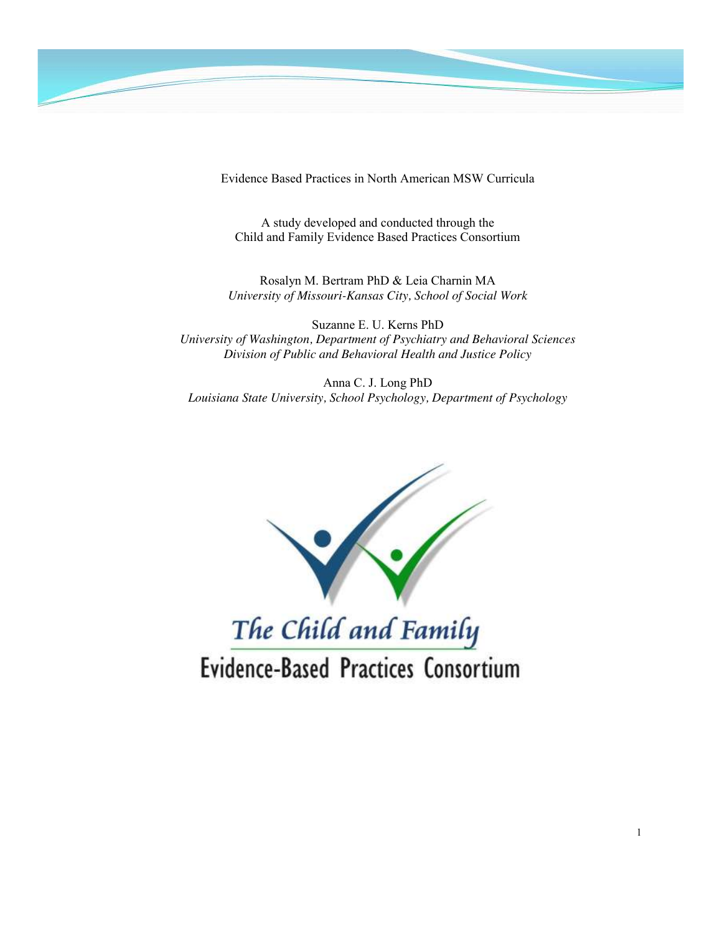

Evidence Based Practices in North American MSW Curricula

A study developed and conducted through the Child and Family Evidence Based Practices Consortium

Rosalyn M. Bertram PhD & Leia Charnin MA *University of Missouri-Kansas City, School of Social Work*

Suzanne E. U. Kerns PhD *University of Washington, Department of Psychiatry and Behavioral Sciences Division of Public and Behavioral Health and Justice Policy*

Anna C. J. Long PhD *Louisiana State University, School Psychology, Department of Psychology*



Evidence-Based Practices Consortium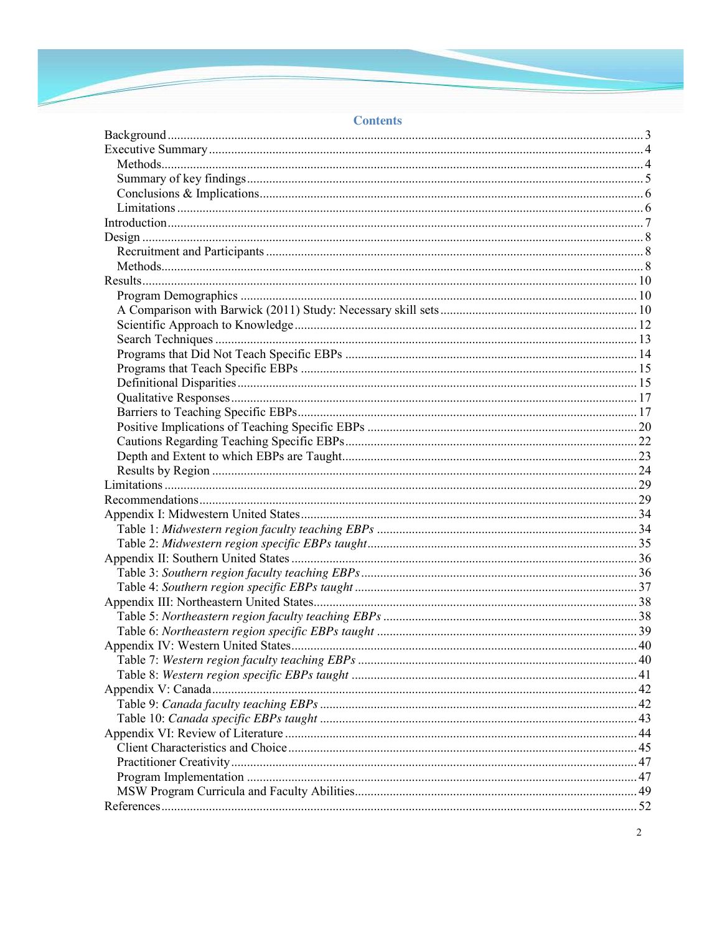# **Contents**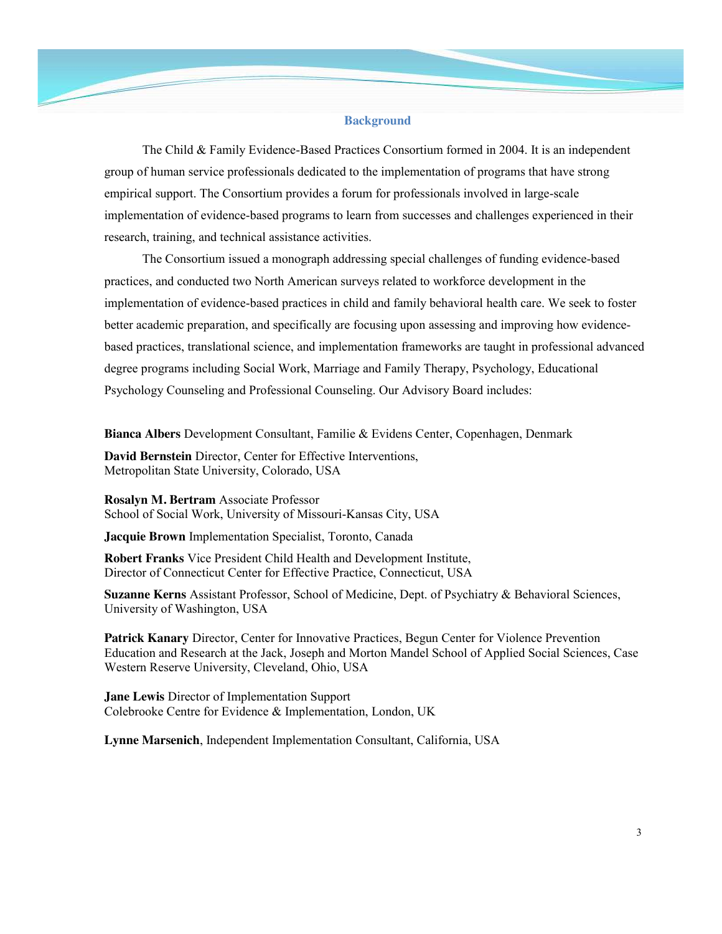#### **Background**

The Child & Family Evidence-Based Practices Consortium formed in 2004. It is an independent group of human service professionals dedicated to the implementation of programs that have strong empirical support. The Consortium provides a forum for professionals involved in large-scale implementation of evidence-based programs to learn from successes and challenges experienced in their research, training, and technical assistance activities.

The Consortium issued a monograph addressing special challenges of funding evidence-based practices, and conducted two North American surveys related to workforce development in the implementation of evidence-based practices in child and family behavioral health care. We seek to foster better academic preparation, and specifically are focusing upon assessing and improving how evidencebased practices, translational science, and implementation frameworks are taught in professional advanced degree programs including Social Work, Marriage and Family Therapy, Psychology, Educational Psychology Counseling and Professional Counseling. Our Advisory Board includes:

**Bianca Albers** Development Consultant, Familie & Evidens Center, Copenhagen, Denmark

**David Bernstein** Director, Center for Effective Interventions, Metropolitan State University, Colorado, USA

**Rosalyn M. Bertram** Associate Professor School of Social Work, University of Missouri-Kansas City, USA

**Jacquie Brown** Implementation Specialist, Toronto, Canada

**Robert Franks** Vice President Child Health and Development Institute, Director of Connecticut Center for Effective Practice, Connecticut, USA

**Suzanne Kerns** Assistant Professor, School of Medicine, Dept. of Psychiatry & Behavioral Sciences, University of Washington, USA

**Patrick Kanary** Director, Center for Innovative Practices, Begun Center for Violence Prevention Education and Research at the Jack, Joseph and Morton Mandel School of Applied Social Sciences, Case Western Reserve University, Cleveland, Ohio, USA

**Jane Lewis** Director of Implementation Support Colebrooke Centre for Evidence & Implementation, London, UK

**Lynne Marsenich**, Independent Implementation Consultant, California, USA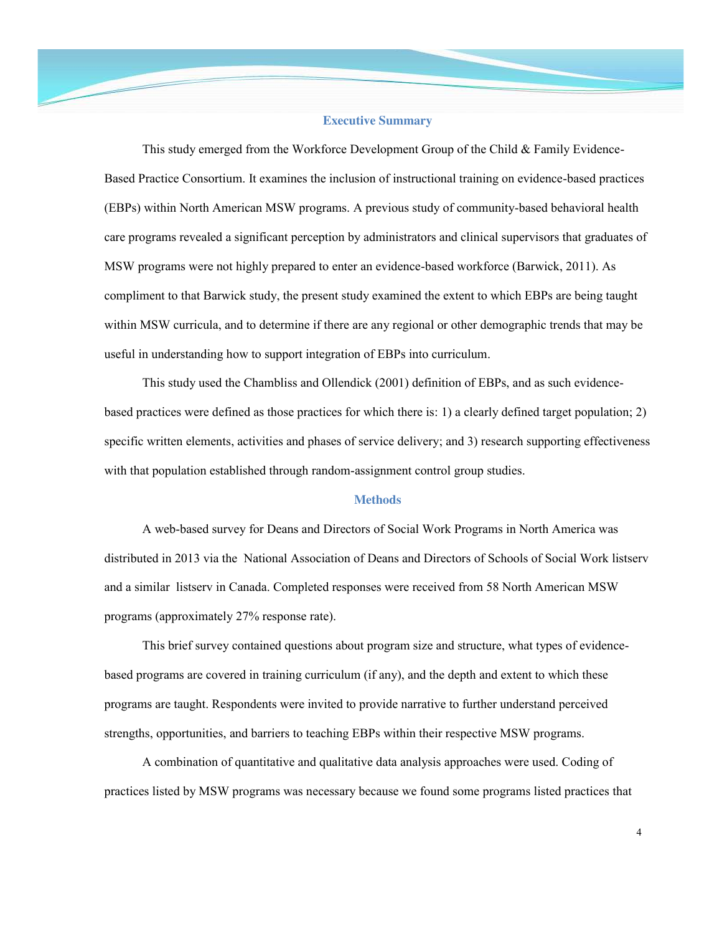#### **Executive Summary**

This study emerged from the Workforce Development Group of the Child  $&$  Family Evidence-Based Practice Consortium. It examines the inclusion of instructional training on evidence-based practices (EBPs) within North American MSW programs. A previous study of community-based behavioral health care programs revealed a significant perception by administrators and clinical supervisors that graduates of MSW programs were not highly prepared to enter an evidence-based workforce (Barwick, 2011). As compliment to that Barwick study, the present study examined the extent to which EBPs are being taught within MSW curricula, and to determine if there are any regional or other demographic trends that may be useful in understanding how to support integration of EBPs into curriculum.

This study used the Chambliss and Ollendick (2001) definition of EBPs, and as such evidencebased practices were defined as those practices for which there is: 1) a clearly defined target population; 2) specific written elements, activities and phases of service delivery; and 3) research supporting effectiveness with that population established through random-assignment control group studies.

# **Methods**

A web-based survey for Deans and Directors of Social Work Programs in North America was distributed in 2013 via the National Association of Deans and Directors of Schools of Social Work listserv and a similar listserv in Canada. Completed responses were received from 58 North American MSW programs (approximately 27% response rate).

This brief survey contained questions about program size and structure, what types of evidencebased programs are covered in training curriculum (if any), and the depth and extent to which these programs are taught. Respondents were invited to provide narrative to further understand perceived strengths, opportunities, and barriers to teaching EBPs within their respective MSW programs.

A combination of quantitative and qualitative data analysis approaches were used. Coding of practices listed by MSW programs was necessary because we found some programs listed practices that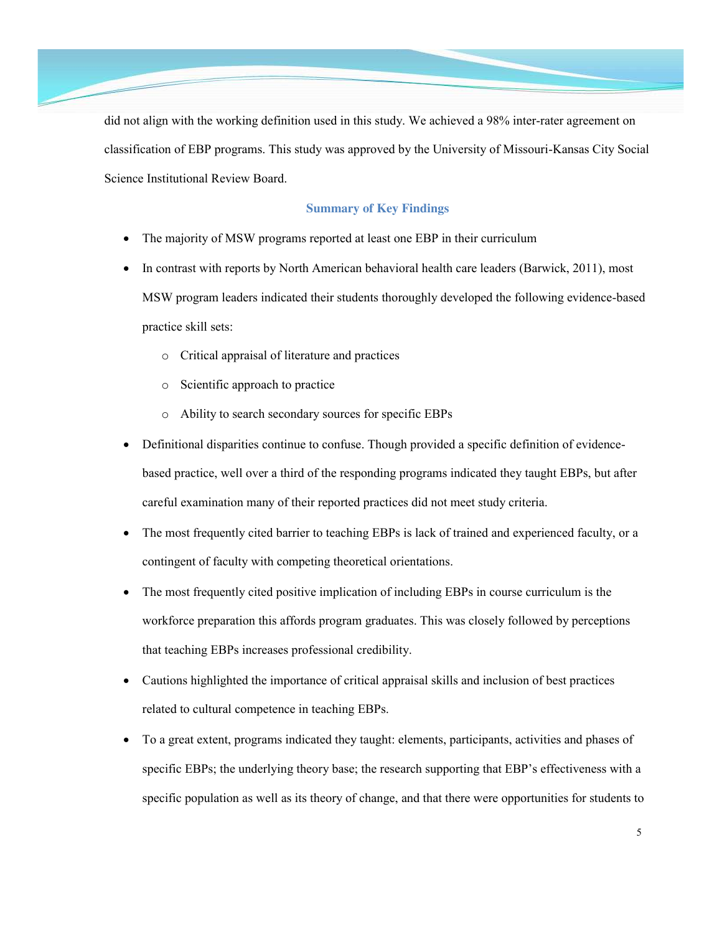

did not align with the working definition used in this study. We achieved a 98% inter-rater agreement on classification of EBP programs. This study was approved by the University of Missouri-Kansas City Social Science Institutional Review Board.

# **Summary of Key Findings**

- The majority of MSW programs reported at least one EBP in their curriculum
- In contrast with reports by North American behavioral health care leaders (Barwick, 2011), most MSW program leaders indicated their students thoroughly developed the following evidence-based practice skill sets:
	- o Critical appraisal of literature and practices
	- o Scientific approach to practice
	- o Ability to search secondary sources for specific EBPs
- Definitional disparities continue to confuse. Though provided a specific definition of evidencebased practice, well over a third of the responding programs indicated they taught EBPs, but after careful examination many of their reported practices did not meet study criteria.
- The most frequently cited barrier to teaching EBPs is lack of trained and experienced faculty, or a contingent of faculty with competing theoretical orientations.
- The most frequently cited positive implication of including EBPs in course curriculum is the workforce preparation this affords program graduates. This was closely followed by perceptions that teaching EBPs increases professional credibility.
- Cautions highlighted the importance of critical appraisal skills and inclusion of best practices related to cultural competence in teaching EBPs.
- To a great extent, programs indicated they taught: elements, participants, activities and phases of specific EBPs; the underlying theory base; the research supporting that EBP's effectiveness with a specific population as well as its theory of change, and that there were opportunities for students to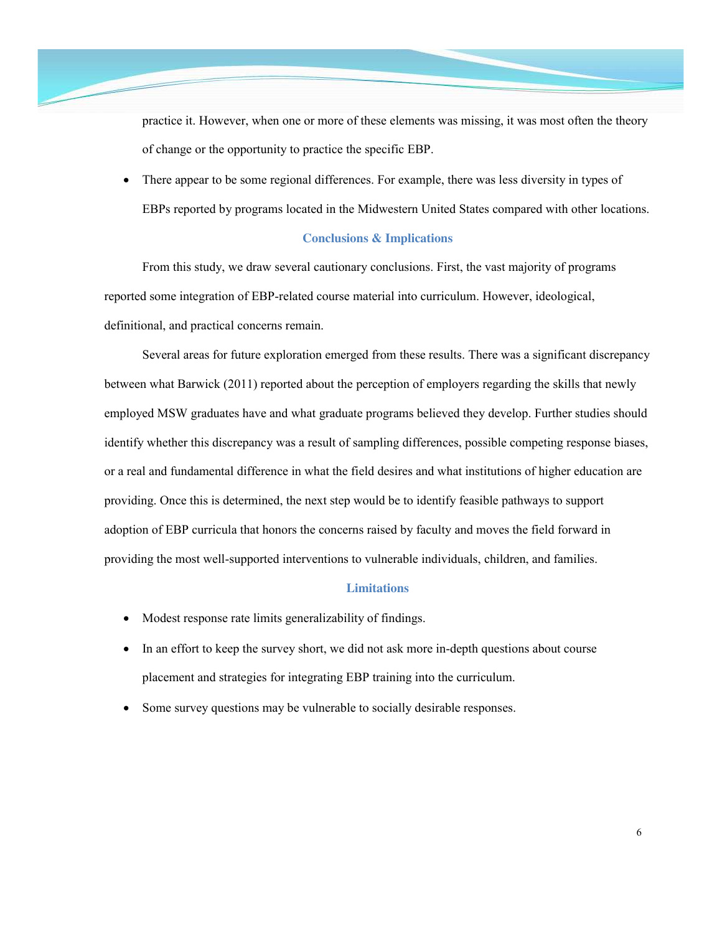practice it. However, when one or more of these elements was missing, it was most often the theory of change or the opportunity to practice the specific EBP.

There appear to be some regional differences. For example, there was less diversity in types of EBPs reported by programs located in the Midwestern United States compared with other locations.

# **Conclusions & Implications**

From this study, we draw several cautionary conclusions. First, the vast majority of programs reported some integration of EBP-related course material into curriculum. However, ideological, definitional, and practical concerns remain.

Several areas for future exploration emerged from these results. There was a significant discrepancy between what Barwick (2011) reported about the perception of employers regarding the skills that newly employed MSW graduates have and what graduate programs believed they develop. Further studies should identify whether this discrepancy was a result of sampling differences, possible competing response biases, or a real and fundamental difference in what the field desires and what institutions of higher education are providing. Once this is determined, the next step would be to identify feasible pathways to support adoption of EBP curricula that honors the concerns raised by faculty and moves the field forward in providing the most well-supported interventions to vulnerable individuals, children, and families.

## **Limitations**

- Modest response rate limits generalizability of findings.
- In an effort to keep the survey short, we did not ask more in-depth questions about course placement and strategies for integrating EBP training into the curriculum.
- Some survey questions may be vulnerable to socially desirable responses.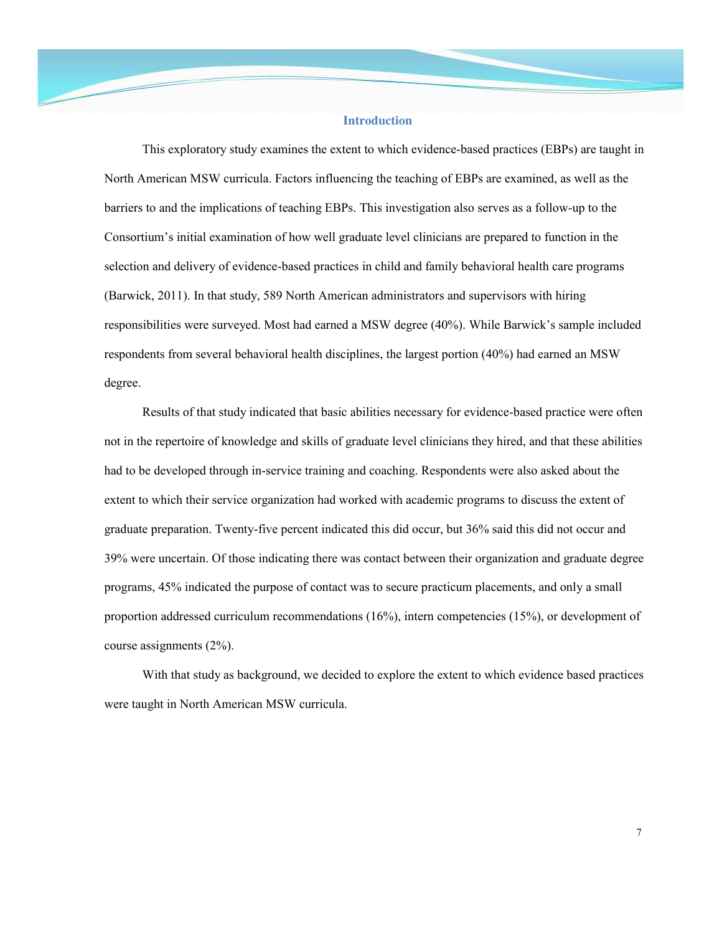## **Introduction**

This exploratory study examines the extent to which evidence-based practices (EBPs) are taught in North American MSW curricula. Factors influencing the teaching of EBPs are examined, as well as the barriers to and the implications of teaching EBPs. This investigation also serves as a follow-up to the Consortium's initial examination of how well graduate level clinicians are prepared to function in the selection and delivery of evidence-based practices in child and family behavioral health care programs (Barwick, 2011). In that study, 589 North American administrators and supervisors with hiring responsibilities were surveyed. Most had earned a MSW degree (40%). While Barwick's sample included respondents from several behavioral health disciplines, the largest portion (40%) had earned an MSW degree.

Results of that study indicated that basic abilities necessary for evidence-based practice were often not in the repertoire of knowledge and skills of graduate level clinicians they hired, and that these abilities had to be developed through in-service training and coaching. Respondents were also asked about the extent to which their service organization had worked with academic programs to discuss the extent of graduate preparation. Twenty-five percent indicated this did occur, but 36% said this did not occur and 39% were uncertain. Of those indicating there was contact between their organization and graduate degree programs, 45% indicated the purpose of contact was to secure practicum placements, and only a small proportion addressed curriculum recommendations (16%), intern competencies (15%), or development of course assignments (2%).

With that study as background, we decided to explore the extent to which evidence based practices were taught in North American MSW curricula.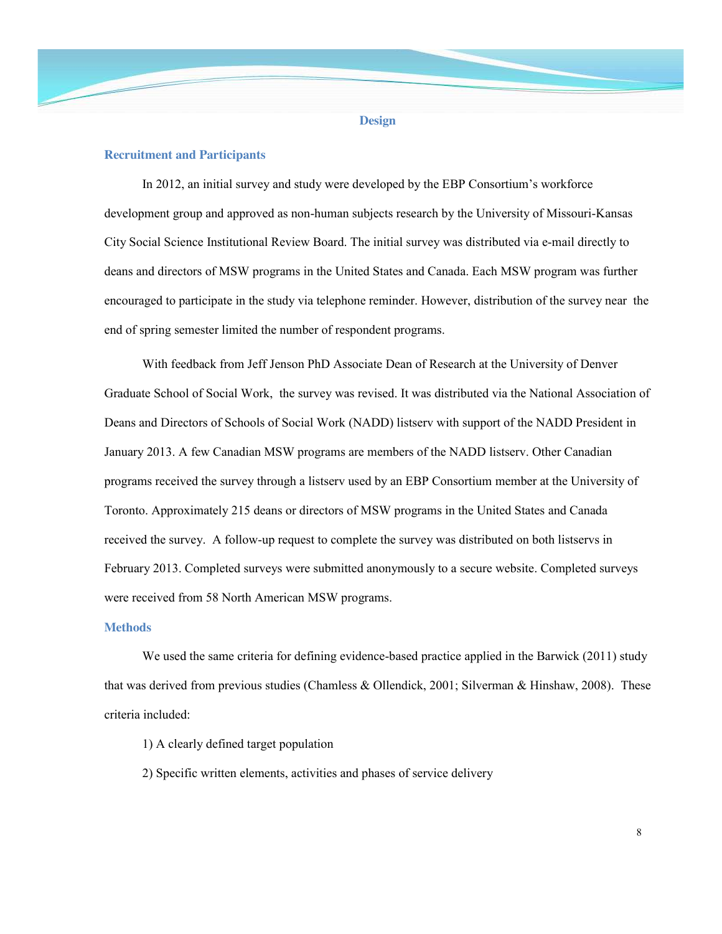#### **Design**

## **Recruitment and Participants**

In 2012, an initial survey and study were developed by the EBP Consortium's workforce development group and approved as non-human subjects research by the University of Missouri-Kansas City Social Science Institutional Review Board. The initial survey was distributed via e-mail directly to deans and directors of MSW programs in the United States and Canada. Each MSW program was further encouraged to participate in the study via telephone reminder. However, distribution of the survey near the end of spring semester limited the number of respondent programs.

With feedback from Jeff Jenson PhD Associate Dean of Research at the University of Denver Graduate School of Social Work, the survey was revised. It was distributed via the National Association of Deans and Directors of Schools of Social Work (NADD) listserv with support of the NADD President in January 2013. A few Canadian MSW programs are members of the NADD listserv. Other Canadian programs received the survey through a listserv used by an EBP Consortium member at the University of Toronto. Approximately 215 deans or directors of MSW programs in the United States and Canada received the survey. A follow-up request to complete the survey was distributed on both listservs in February 2013. Completed surveys were submitted anonymously to a secure website. Completed surveys were received from 58 North American MSW programs.

## **Methods**

We used the same criteria for defining evidence-based practice applied in the Barwick (2011) study that was derived from previous studies (Chamless & Ollendick, 2001; Silverman & Hinshaw, 2008). These criteria included:

- 1) A clearly defined target population
- 2) Specific written elements, activities and phases of service delivery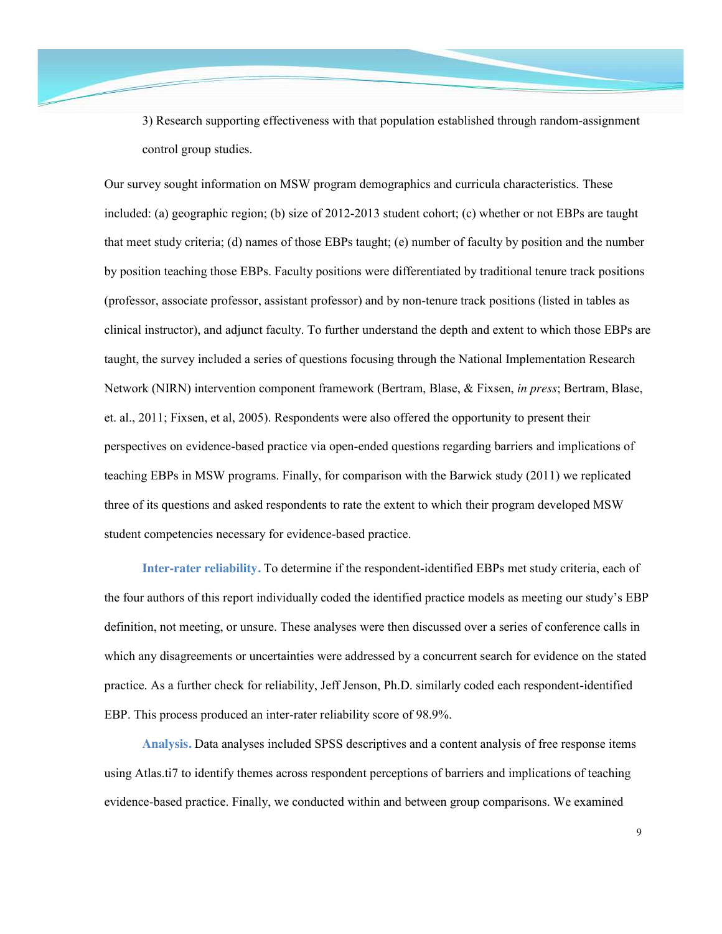3) Research supporting effectiveness with that population established through random-assignment control group studies.

Our survey sought information on MSW program demographics and curricula characteristics. These included: (a) geographic region; (b) size of 2012-2013 student cohort; (c) whether or not EBPs are taught that meet study criteria; (d) names of those EBPs taught; (e) number of faculty by position and the number by position teaching those EBPs. Faculty positions were differentiated by traditional tenure track positions (professor, associate professor, assistant professor) and by non-tenure track positions (listed in tables as clinical instructor), and adjunct faculty. To further understand the depth and extent to which those EBPs are taught, the survey included a series of questions focusing through the National Implementation Research Network (NIRN) intervention component framework (Bertram, Blase, & Fixsen, *in press*; Bertram, Blase, et. al., 2011; Fixsen, et al, 2005). Respondents were also offered the opportunity to present their perspectives on evidence-based practice via open-ended questions regarding barriers and implications of teaching EBPs in MSW programs. Finally, for comparison with the Barwick study (2011) we replicated three of its questions and asked respondents to rate the extent to which their program developed MSW student competencies necessary for evidence-based practice.

**Inter-rater reliability.** To determine if the respondent-identified EBPs met study criteria, each of the four authors of this report individually coded the identified practice models as meeting our study's EBP definition, not meeting, or unsure. These analyses were then discussed over a series of conference calls in which any disagreements or uncertainties were addressed by a concurrent search for evidence on the stated practice. As a further check for reliability, Jeff Jenson, Ph.D. similarly coded each respondent-identified EBP. This process produced an inter-rater reliability score of 98.9%.

**Analysis.** Data analyses included SPSS descriptives and a content analysis of free response items using Atlas.ti7 to identify themes across respondent perceptions of barriers and implications of teaching evidence-based practice. Finally, we conducted within and between group comparisons. We examined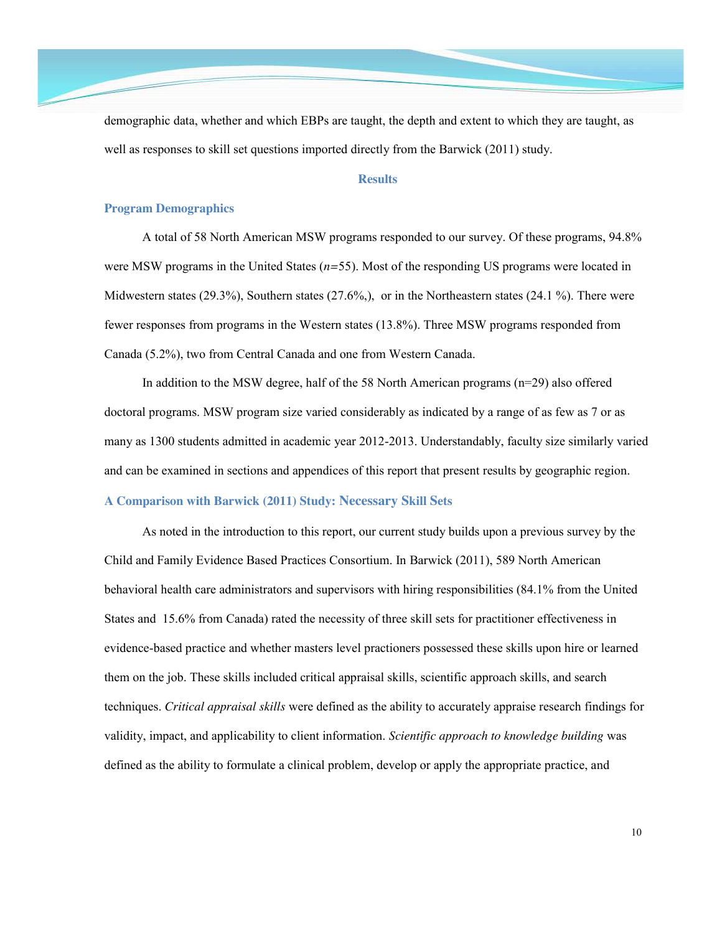demographic data, whether and which EBPs are taught, the depth and extent to which they are taught, as well as responses to skill set questions imported directly from the Barwick (2011) study.

## **Results**

## **Program Demographics**

A total of 58 North American MSW programs responded to our survey. Of these programs, 94.8% were MSW programs in the United States (*n=*55). Most of the responding US programs were located in Midwestern states (29.3%), Southern states (27.6%,), or in the Northeastern states (24.1 %). There were fewer responses from programs in the Western states (13.8%). Three MSW programs responded from Canada (5.2%), two from Central Canada and one from Western Canada.

In addition to the MSW degree, half of the 58 North American programs (n=29) also offered doctoral programs. MSW program size varied considerably as indicated by a range of as few as 7 or as many as 1300 students admitted in academic year 2012-2013. Understandably, faculty size similarly varied and can be examined in sections and appendices of this report that present results by geographic region.

# **A Comparison with Barwick (2011) Study: Necessary Skill Sets**

As noted in the introduction to this report, our current study builds upon a previous survey by the Child and Family Evidence Based Practices Consortium. In Barwick (2011), 589 North American behavioral health care administrators and supervisors with hiring responsibilities (84.1% from the United States and 15.6% from Canada) rated the necessity of three skill sets for practitioner effectiveness in evidence-based practice and whether masters level practioners possessed these skills upon hire or learned them on the job. These skills included critical appraisal skills, scientific approach skills, and search techniques. *Critical appraisal skills* were defined as the ability to accurately appraise research findings for validity, impact, and applicability to client information. *Scientific approach to knowledge building* was defined as the ability to formulate a clinical problem, develop or apply the appropriate practice, and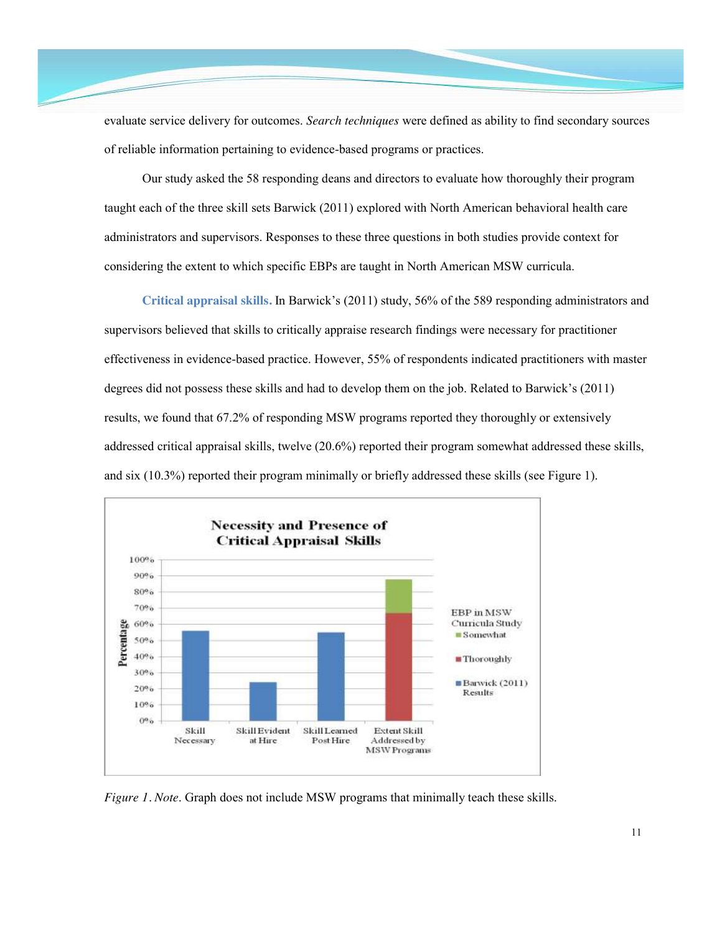evaluate service delivery for outcomes. *Search techniques* were defined as ability to find secondary sources of reliable information pertaining to evidence-based programs or practices.

Our study asked the 58 responding deans and directors to evaluate how thoroughly their program taught each of the three skill sets Barwick (2011) explored with North American behavioral health care administrators and supervisors. Responses to these three questions in both studies provide context for considering the extent to which specific EBPs are taught in North American MSW curricula.

**Critical appraisal skills.** In Barwick's (2011) study, 56% of the 589 responding administrators and supervisors believed that skills to critically appraise research findings were necessary for practitioner effectiveness in evidence-based practice. However, 55% of respondents indicated practitioners with master degrees did not possess these skills and had to develop them on the job. Related to Barwick's (2011) results, we found that 67.2% of responding MSW programs reported they thoroughly or extensively addressed critical appraisal skills, twelve (20.6%) reported their program somewhat addressed these skills, and six (10.3%) reported their program minimally or briefly addressed these skills (see Figure 1).



*Figure 1. Note*. Graph does not include MSW programs that minimally teach these skills.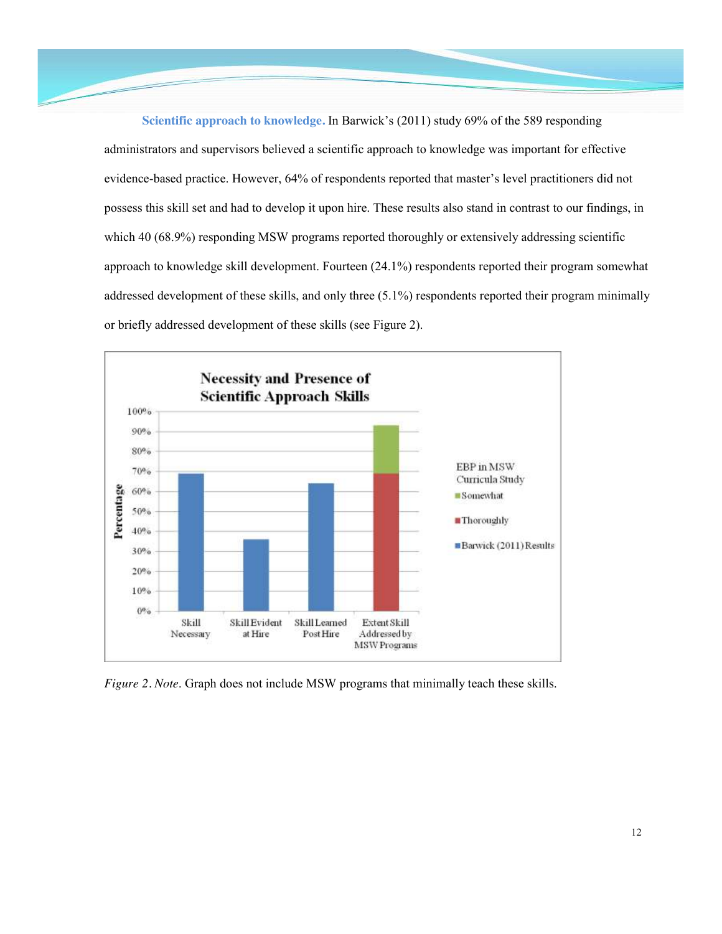**Scientific approach to knowledge.** In Barwick's (2011) study 69% of the 589 responding administrators and supervisors believed a scientific approach to knowledge was important for effective evidence-based practice. However, 64% of respondents reported that master's level practitioners did not possess this skill set and had to develop it upon hire. These results also stand in contrast to our findings, in which 40 (68.9%) responding MSW programs reported thoroughly or extensively addressing scientific approach to knowledge skill development. Fourteen (24.1%) respondents reported their program somewhat addressed development of these skills, and only three (5.1%) respondents reported their program minimally or briefly addressed development of these skills (see Figure 2).



*Figure 2. Note*. Graph does not include MSW programs that minimally teach these skills.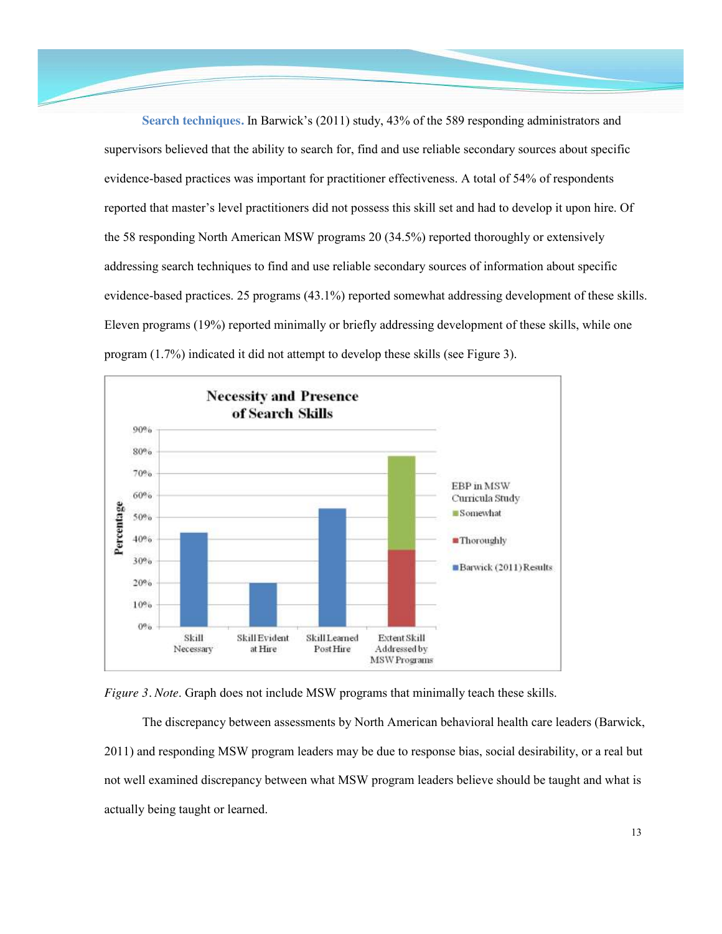**Search techniques.** In Barwick's (2011) study, 43% of the 589 responding administrators and supervisors believed that the ability to search for, find and use reliable secondary sources about specific evidence-based practices was important for practitioner effectiveness. A total of 54% of respondents reported that master's level practitioners did not possess this skill set and had to develop it upon hire. Of the 58 responding North American MSW programs 20 (34.5%) reported thoroughly or extensively addressing search techniques to find and use reliable secondary sources of information about specific evidence-based practices. 25 programs (43.1%) reported somewhat addressing development of these skills. Eleven programs (19%) reported minimally or briefly addressing development of these skills, while one program (1.7%) indicated it did not attempt to develop these skills (see Figure 3).





The discrepancy between assessments by North American behavioral health care leaders (Barwick, 2011) and responding MSW program leaders may be due to response bias, social desirability, or a real but not well examined discrepancy between what MSW program leaders believe should be taught and what is actually being taught or learned.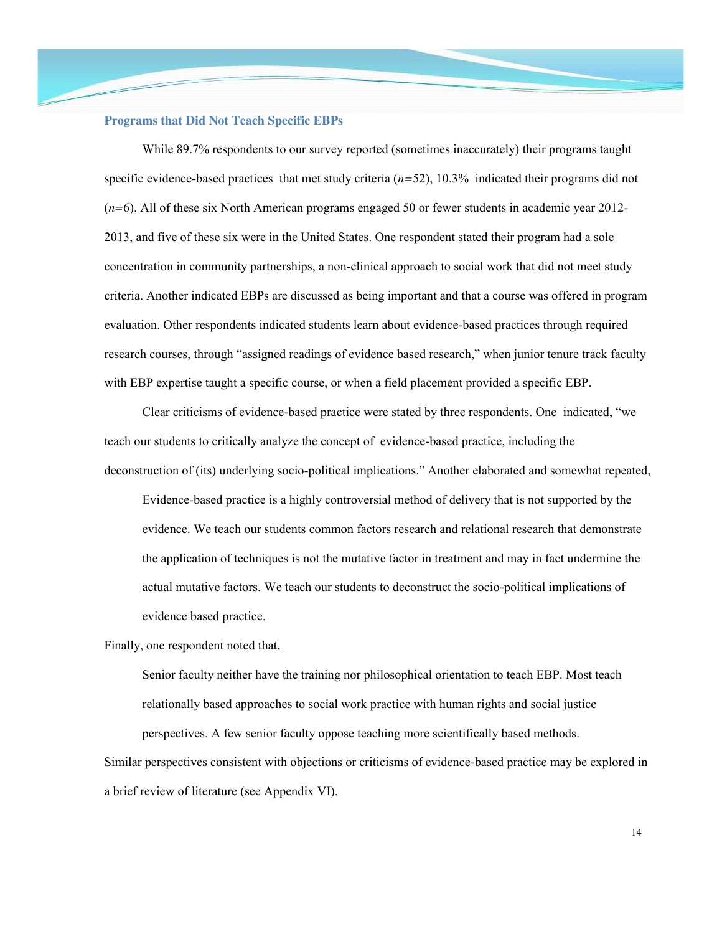#### **Programs that Did Not Teach Specific EBPs**

While 89.7% respondents to our survey reported (sometimes inaccurately) their programs taught specific evidence-based practices that met study criteria (*n=*52), 10.3% indicated their programs did not (*n=*6). All of these six North American programs engaged 50 or fewer students in academic year 2012- 2013, and five of these six were in the United States. One respondent stated their program had a sole concentration in community partnerships, a non-clinical approach to social work that did not meet study criteria. Another indicated EBPs are discussed as being important and that a course was offered in program evaluation. Other respondents indicated students learn about evidence-based practices through required research courses, through "assigned readings of evidence based research," when junior tenure track faculty with EBP expertise taught a specific course, or when a field placement provided a specific EBP.

Clear criticisms of evidence-based practice were stated by three respondents. One indicated, "we teach our students to critically analyze the concept of evidence-based practice, including the deconstruction of (its) underlying socio-political implications." Another elaborated and somewhat repeated,

Evidence-based practice is a highly controversial method of delivery that is not supported by the evidence. We teach our students common factors research and relational research that demonstrate the application of techniques is not the mutative factor in treatment and may in fact undermine the actual mutative factors. We teach our students to deconstruct the socio-political implications of evidence based practice.

Finally, one respondent noted that,

Senior faculty neither have the training nor philosophical orientation to teach EBP. Most teach relationally based approaches to social work practice with human rights and social justice perspectives. A few senior faculty oppose teaching more scientifically based methods.

Similar perspectives consistent with objections or criticisms of evidence-based practice may be explored in a brief review of literature (see Appendix VI).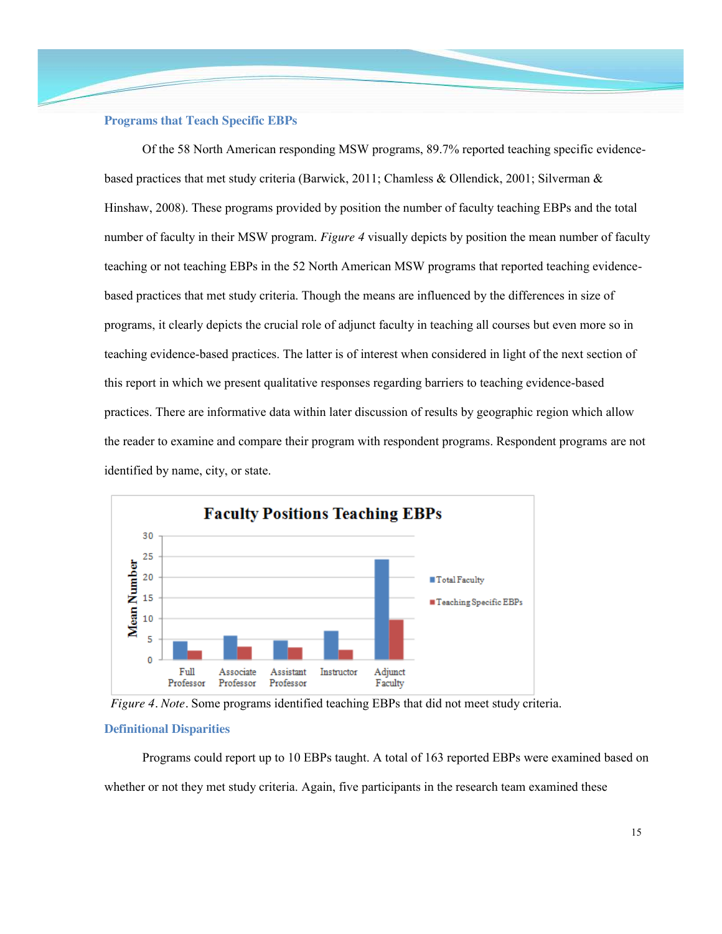## **Programs that Teach Specific EBPs**

Of the 58 North American responding MSW programs, 89.7% reported teaching specific evidencebased practices that met study criteria (Barwick, 2011; Chamless & Ollendick, 2001; Silverman & Hinshaw, 2008). These programs provided by position the number of faculty teaching EBPs and the total number of faculty in their MSW program. *Figure 4* visually depicts by position the mean number of faculty teaching or not teaching EBPs in the 52 North American MSW programs that reported teaching evidencebased practices that met study criteria. Though the means are influenced by the differences in size of programs, it clearly depicts the crucial role of adjunct faculty in teaching all courses but even more so in teaching evidence-based practices. The latter is of interest when considered in light of the next section of this report in which we present qualitative responses regarding barriers to teaching evidence-based practices. There are informative data within later discussion of results by geographic region which allow the reader to examine and compare their program with respondent programs. Respondent programs are not identified by name, city, or state.



*Figure 4. Note.* Some programs identified teaching EBPs that did not meet study criteria.

#### **Definitional Disparities**

Programs could report up to 10 EBPs taught. A total of 163 reported EBPs were examined based on whether or not they met study criteria. Again, five participants in the research team examined these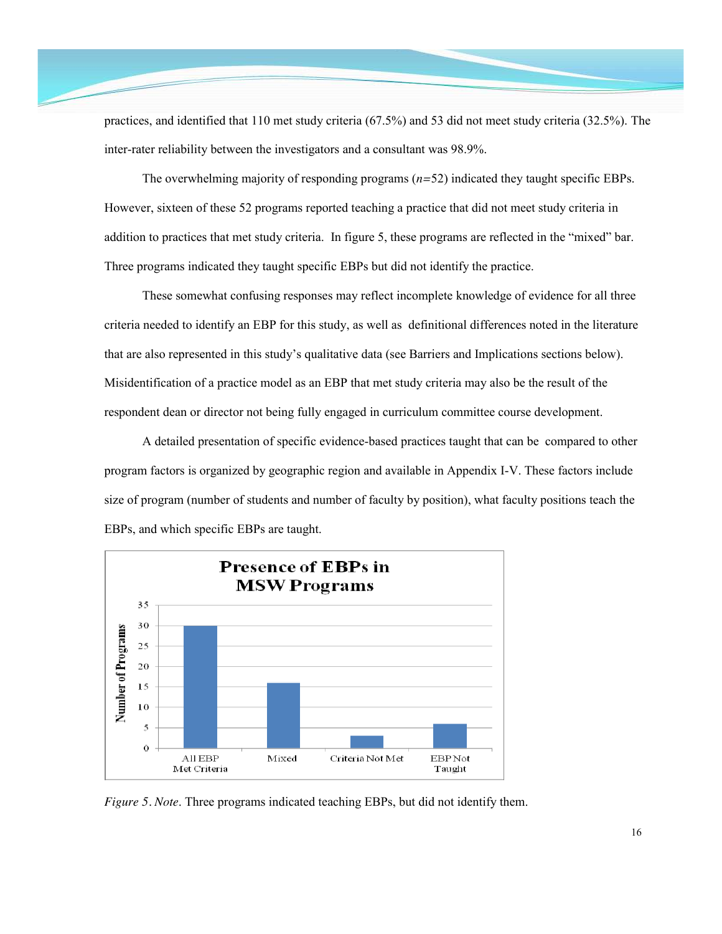practices, and identified that 110 met study criteria (67.5%) and 53 did not meet study criteria (32.5%). The inter-rater reliability between the investigators and a consultant was 98.9%.

The overwhelming majority of responding programs (*n=*52) indicated they taught specific EBPs. However, sixteen of these 52 programs reported teaching a practice that did not meet study criteria in addition to practices that met study criteria. In figure 5, these programs are reflected in the "mixed" bar. Three programs indicated they taught specific EBPs but did not identify the practice.

These somewhat confusing responses may reflect incomplete knowledge of evidence for all three criteria needed to identify an EBP for this study, as well as definitional differences noted in the literature that are also represented in this study's qualitative data (see Barriers and Implications sections below). Misidentification of a practice model as an EBP that met study criteria may also be the result of the respondent dean or director not being fully engaged in curriculum committee course development.

A detailed presentation of specific evidence-based practices taught that can be compared to other program factors is organized by geographic region and available in Appendix I-V. These factors include size of program (number of students and number of faculty by position), what faculty positions teach the EBPs, and which specific EBPs are taught.



*Figure 5. Note*. Three programs indicated teaching EBPs, but did not identify them.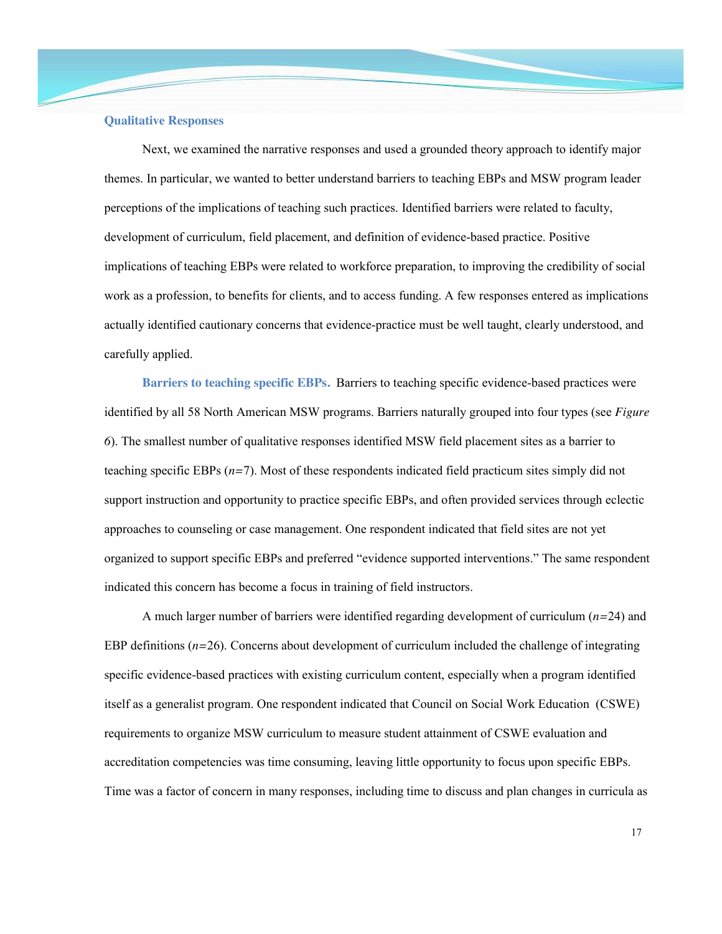#### **Qualitative Responses**

Next, we examined the narrative responses and used a grounded theory approach to identify major themes. In particular, we wanted to better understand barriers to teaching EBPs and MSW program leader perceptions of the implications of teaching such practices. Identified barriers were related to faculty, development of curriculum, field placement, and definition of evidence-based practice. Positive implications of teaching EBPs were related to workforce preparation, to improving the credibility of social work as a profession, to benefits for clients, and to access funding. A few responses entered as implications actually identified cautionary concerns that evidence-practice must be well taught, clearly understood, and carefully applied.

**Barriers to teaching specific EBPs.** Barriers to teaching specific evidence-based practices were identified by all 58 North American MSW programs. Barriers naturally grouped into four types (see *Figure 6*). The smallest number of qualitative responses identified MSW field placement sites as a barrier to teaching specific EBPs (*n=*7). Most of these respondents indicated field practicum sites simply did not support instruction and opportunity to practice specific EBPs, and often provided services through eclectic approaches to counseling or case management. One respondent indicated that field sites are not yet organized to support specific EBPs and preferred "evidence supported interventions." The same respondent indicated this concern has become a focus in training of field instructors.

A much larger number of barriers were identified regarding development of curriculum (*n=*24) and EBP definitions (*n=*26). Concerns about development of curriculum included the challenge of integrating specific evidence-based practices with existing curriculum content, especially when a program identified itself as a generalist program. One respondent indicated that Council on Social Work Education (CSWE) requirements to organize MSW curriculum to measure student attainment of CSWE evaluation and accreditation competencies was time consuming, leaving little opportunity to focus upon specific EBPs. Time was a factor of concern in many responses, including time to discuss and plan changes in curricula as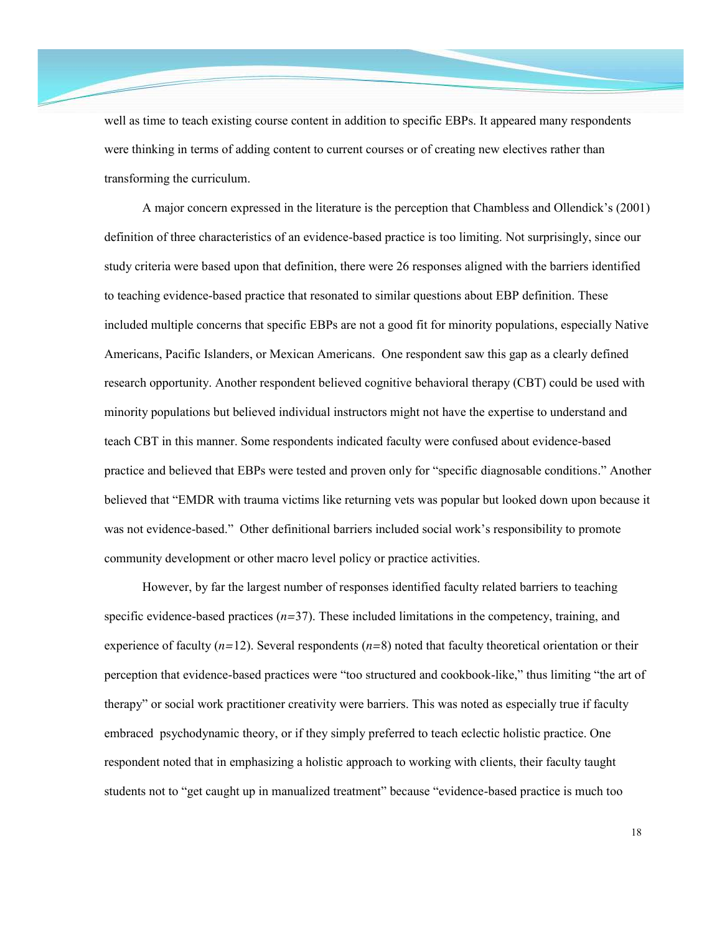well as time to teach existing course content in addition to specific EBPs. It appeared many respondents were thinking in terms of adding content to current courses or of creating new electives rather than transforming the curriculum.

A major concern expressed in the literature is the perception that Chambless and Ollendick's (2001) definition of three characteristics of an evidence-based practice is too limiting. Not surprisingly, since our study criteria were based upon that definition, there were 26 responses aligned with the barriers identified to teaching evidence-based practice that resonated to similar questions about EBP definition. These included multiple concerns that specific EBPs are not a good fit for minority populations, especially Native Americans, Pacific Islanders, or Mexican Americans. One respondent saw this gap as a clearly defined research opportunity. Another respondent believed cognitive behavioral therapy (CBT) could be used with minority populations but believed individual instructors might not have the expertise to understand and teach CBT in this manner. Some respondents indicated faculty were confused about evidence-based practice and believed that EBPs were tested and proven only for "specific diagnosable conditions." Another believed that "EMDR with trauma victims like returning vets was popular but looked down upon because it was not evidence-based." Other definitional barriers included social work's responsibility to promote community development or other macro level policy or practice activities.

However, by far the largest number of responses identified faculty related barriers to teaching specific evidence-based practices (*n=*37). These included limitations in the competency, training, and experience of faculty (*n=*12). Several respondents (*n=*8) noted that faculty theoretical orientation or their perception that evidence-based practices were "too structured and cookbook-like," thus limiting "the art of therapy" or social work practitioner creativity were barriers. This was noted as especially true if faculty embraced psychodynamic theory, or if they simply preferred to teach eclectic holistic practice. One respondent noted that in emphasizing a holistic approach to working with clients, their faculty taught students not to "get caught up in manualized treatment" because "evidence-based practice is much too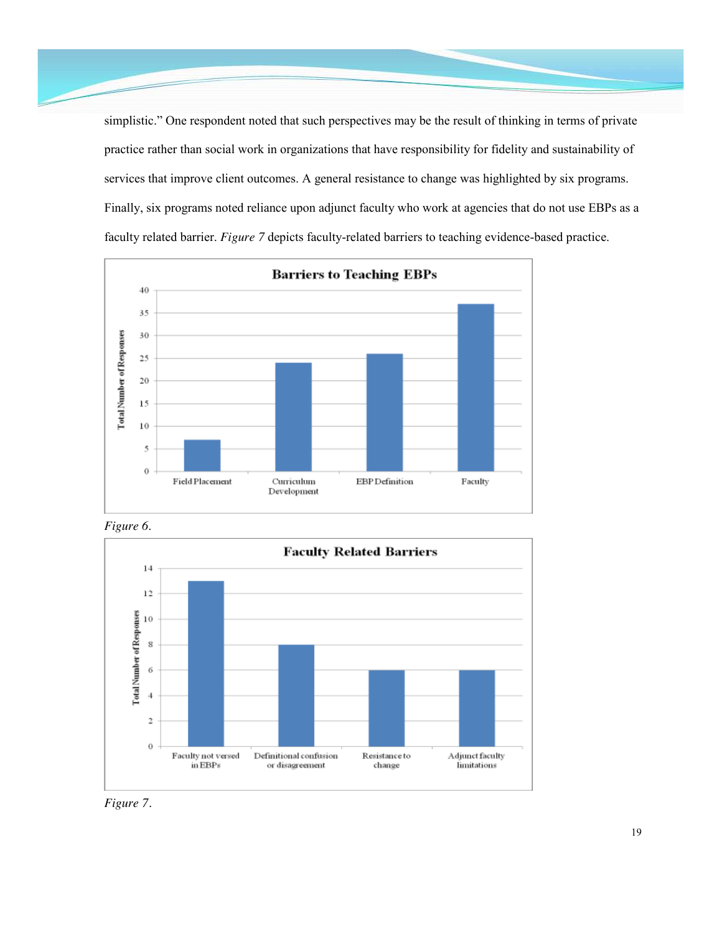simplistic." One respondent noted that such perspectives may be the result of thinking in terms of private practice rather than social work in organizations that have responsibility for fidelity and sustainability of services that improve client outcomes. A general resistance to change was highlighted by six programs. Finally, six programs noted reliance upon adjunct faculty who work at agencies that do not use EBPs as a faculty related barrier. *Figure 7* depicts faculty-related barriers to teaching evidence-based practice.



*Figure 6*.



*Figure 7.*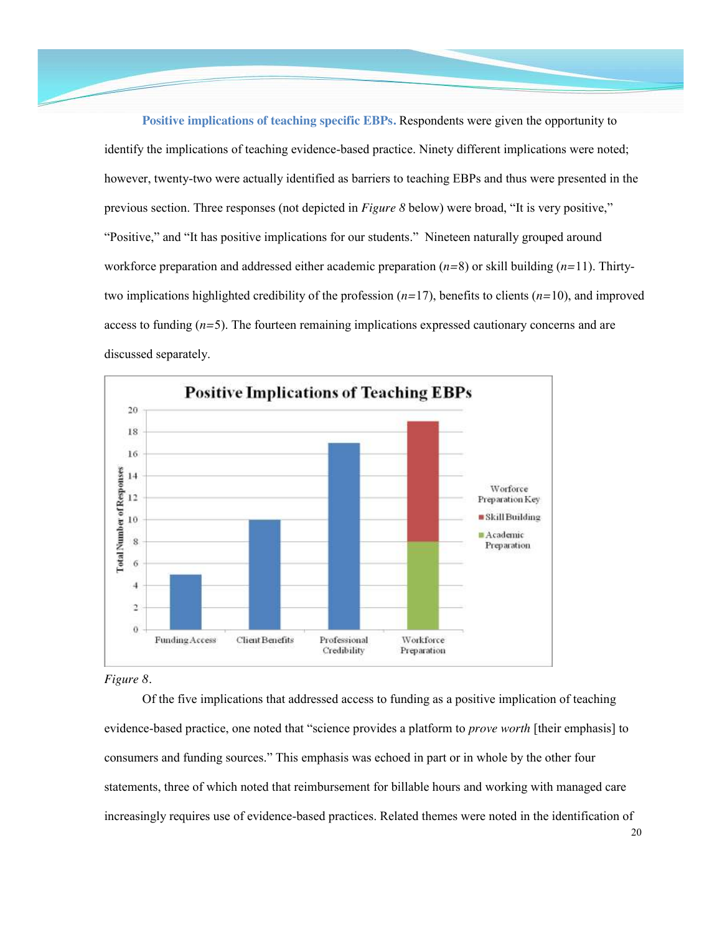**Positive implications of teaching specific EBPs.** Respondents were given the opportunity to identify the implications of teaching evidence-based practice. Ninety different implications were noted; however, twenty-two were actually identified as barriers to teaching EBPs and thus were presented in the previous section. Three responses (not depicted in *Figure 8* below) were broad, "It is very positive," "Positive," and "It has positive implications for our students." Nineteen naturally grouped around workforce preparation and addressed either academic preparation (*n=*8) or skill building (*n=*11). Thirtytwo implications highlighted credibility of the profession (*n=*17), benefits to clients (*n=*10), and improved access to funding (*n=*5). The fourteen remaining implications expressed cautionary concerns and are discussed separately.



*Figure 8.*

Of the five implications that addressed access to funding as a positive implication of teaching evidence-based practice, one noted that "science provides a platform to *prove worth* [their emphasis] to consumers and funding sources." This emphasis was echoed in part or in whole by the other four statements, three of which noted that reimbursement for billable hours and working with managed care increasingly requires use of evidence-based practices. Related themes were noted in the identification of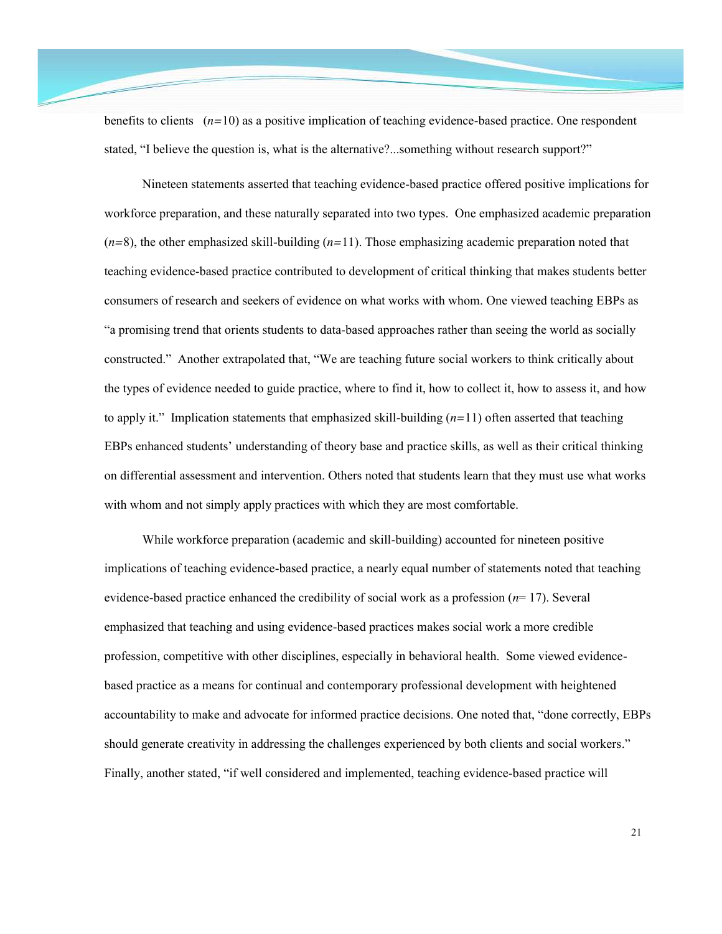benefits to clients (*n=*10) as a positive implication of teaching evidence-based practice. One respondent stated, "I believe the question is, what is the alternative?...something without research support?"

Nineteen statements asserted that teaching evidence-based practice offered positive implications for workforce preparation, and these naturally separated into two types. One emphasized academic preparation (*n=*8), the other emphasized skill-building (*n=*11). Those emphasizing academic preparation noted that teaching evidence-based practice contributed to development of critical thinking that makes students better consumers of research and seekers of evidence on what works with whom. One viewed teaching EBPs as "a promising trend that orients students to data-based approaches rather than seeing the world as socially constructed." Another extrapolated that, "We are teaching future social workers to think critically about the types of evidence needed to guide practice, where to find it, how to collect it, how to assess it, and how to apply it." Implication statements that emphasized skill-building (*n=*11) often asserted that teaching EBPs enhanced students' understanding of theory base and practice skills, as well as their critical thinking on differential assessment and intervention. Others noted that students learn that they must use what works with whom and not simply apply practices with which they are most comfortable.

While workforce preparation (academic and skill-building) accounted for nineteen positive implications of teaching evidence-based practice, a nearly equal number of statements noted that teaching evidence-based practice enhanced the credibility of social work as a profession (*n*= 17). Several emphasized that teaching and using evidence-based practices makes social work a more credible profession, competitive with other disciplines, especially in behavioral health. Some viewed evidencebased practice as a means for continual and contemporary professional development with heightened accountability to make and advocate for informed practice decisions. One noted that, "done correctly, EBPs should generate creativity in addressing the challenges experienced by both clients and social workers." Finally, another stated, "if well considered and implemented, teaching evidence-based practice will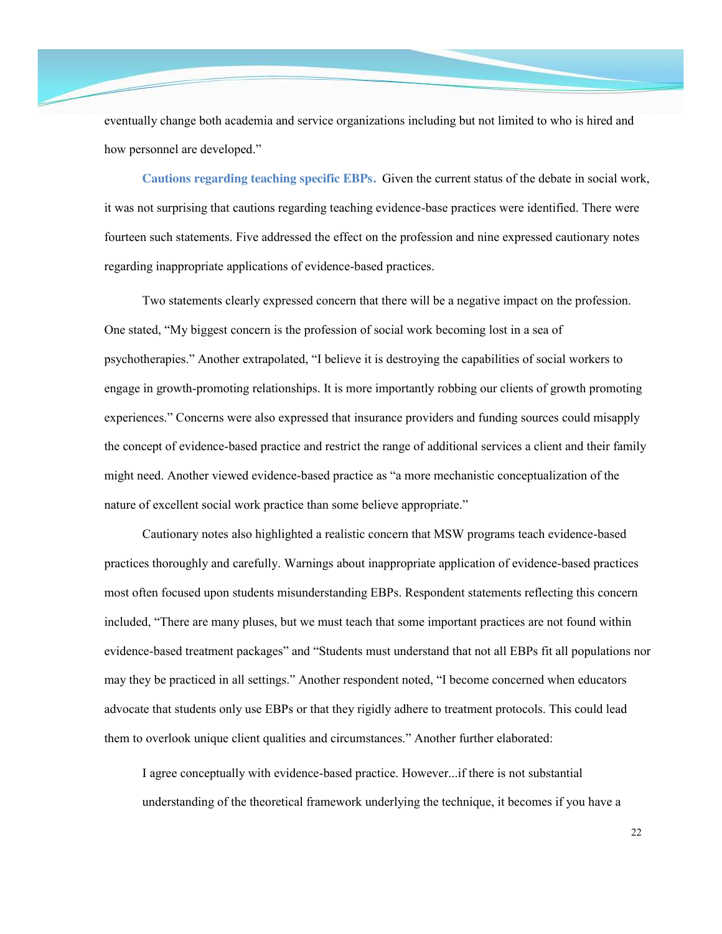eventually change both academia and service organizations including but not limited to who is hired and how personnel are developed."

**Cautions regarding teaching specific EBPs.** Given the current status of the debate in social work, it was not surprising that cautions regarding teaching evidence-base practices were identified. There were fourteen such statements. Five addressed the effect on the profession and nine expressed cautionary notes regarding inappropriate applications of evidence-based practices.

Two statements clearly expressed concern that there will be a negative impact on the profession. One stated, "My biggest concern is the profession of social work becoming lost in a sea of psychotherapies." Another extrapolated, "I believe it is destroying the capabilities of social workers to engage in growth-promoting relationships. It is more importantly robbing our clients of growth promoting experiences." Concerns were also expressed that insurance providers and funding sources could misapply the concept of evidence-based practice and restrict the range of additional services a client and their family might need. Another viewed evidence-based practice as "a more mechanistic conceptualization of the nature of excellent social work practice than some believe appropriate."

Cautionary notes also highlighted a realistic concern that MSW programs teach evidence-based practices thoroughly and carefully. Warnings about inappropriate application of evidence-based practices most often focused upon students misunderstanding EBPs. Respondent statements reflecting this concern included, "There are many pluses, but we must teach that some important practices are not found within evidence-based treatment packages" and "Students must understand that not all EBPs fit all populations nor may they be practiced in all settings." Another respondent noted, "I become concerned when educators advocate that students only use EBPs or that they rigidly adhere to treatment protocols. This could lead them to overlook unique client qualities and circumstances." Another further elaborated:

I agree conceptually with evidence-based practice. However...if there is not substantial understanding of the theoretical framework underlying the technique, it becomes if you have a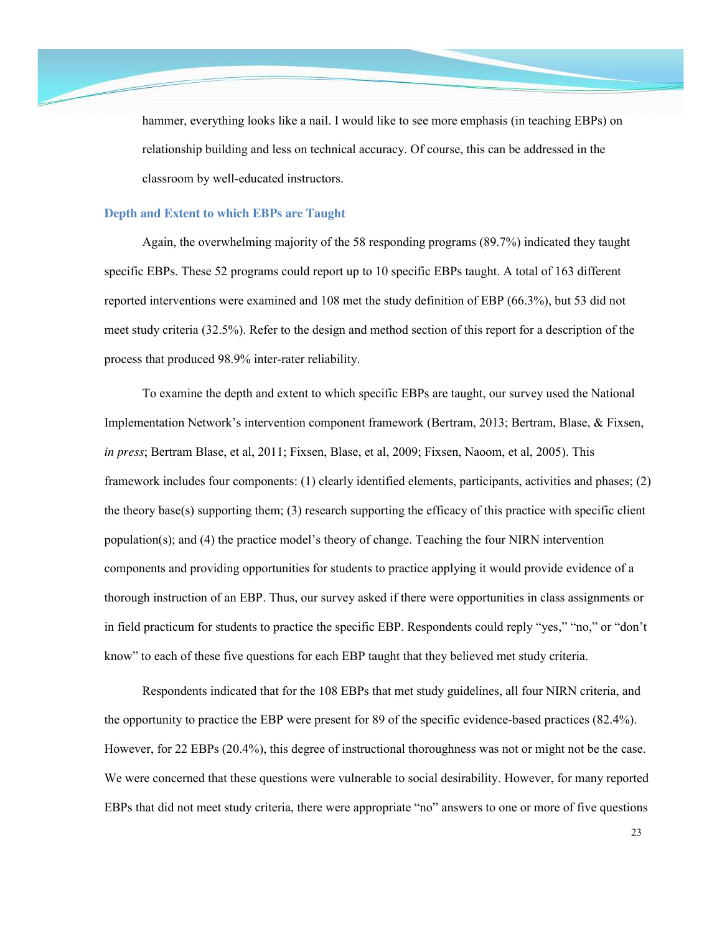hammer, everything looks like a nail. I would like to see more emphasis (in teaching EBPs) on relationship building and less on technical accuracy. Of course, this can be addressed in the classroom by well-educated instructors.

#### **Depth and Extent to which EBPs are Taught**

Again, the overwhelming majority of the 58 responding programs (89.7%) indicated they taught specific EBPs. These 52 programs could report up to 10 specific EBPs taught. A total of 163 different reported interventions were examined and 108 met the study definition of EBP (66.3%), but 53 did not meet study criteria (32.5%). Refer to the design and method section of this report for a description of the process that produced 98.9% inter-rater reliability.

To examine the depth and extent to which specific EBPs are taught, our survey used the National Implementation Network's intervention component framework (Bertram, 2013; Bertram, Blase, & Fixsen, *in press*; Bertram Blase, et al, 2011; Fixsen, Blase, et al, 2009; Fixsen, Naoom, et al, 2005). This framework includes four components: (1) clearly identified elements, participants, activities and phases; (2) the theory base(s) supporting them; (3) research supporting the efficacy of this practice with specific client population(s); and (4) the practice model's theory of change. Teaching the four NIRN intervention components and providing opportunities for students to practice applying it would provide evidence of a thorough instruction of an EBP. Thus, our survey asked if there were opportunities in class assignments or in field practicum for students to practice the specific EBP. Respondents could reply "yes," "no," or "don't know" to each of these five questions for each EBP taught that they believed met study criteria.

Respondents indicated that for the 108 EBPs that met study guidelines, all four NIRN criteria, and the opportunity to practice the EBP were present for 89 of the specific evidence-based practices (82.4%). However, for 22 EBPs (20.4%), this degree of instructional thoroughness was not or might not be the case. We were concerned that these questions were vulnerable to social desirability. However, for many reported EBPs that did not meet study criteria, there were appropriate "no" answers to one or more of five questions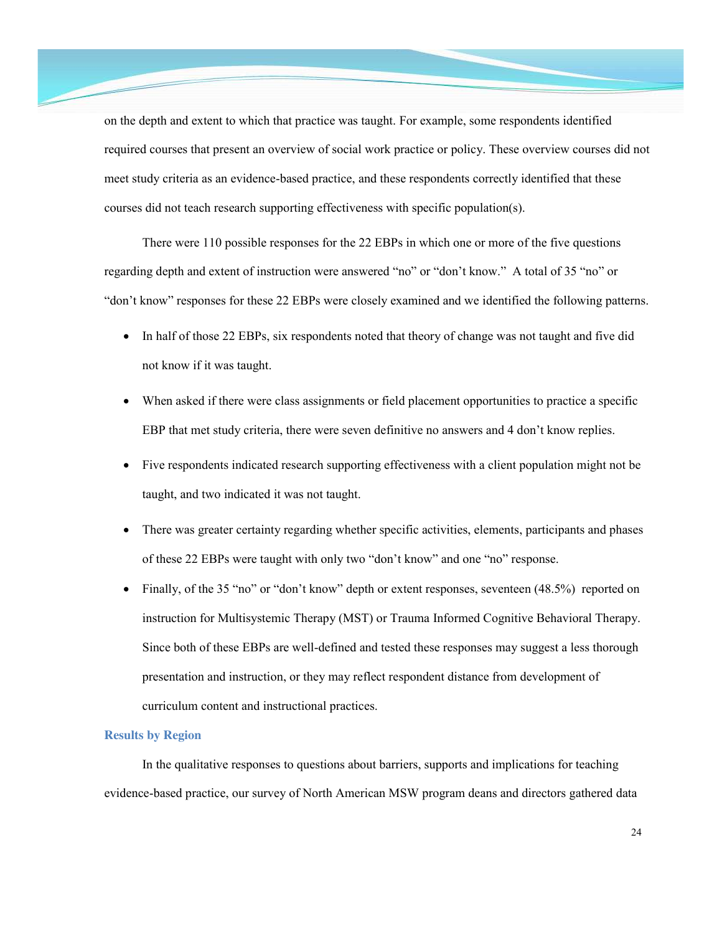on the depth and extent to which that practice was taught. For example, some respondents identified required courses that present an overview of social work practice or policy. These overview courses did not meet study criteria as an evidence-based practice, and these respondents correctly identified that these courses did not teach research supporting effectiveness with specific population(s).

There were 110 possible responses for the 22 EBPs in which one or more of the five questions regarding depth and extent of instruction were answered "no" or "don't know." A total of 35 "no" or "don't know" responses for these 22 EBPs were closely examined and we identified the following patterns.

- In half of those 22 EBPs, six respondents noted that theory of change was not taught and five did not know if it was taught.
- x When asked if there were class assignments or field placement opportunities to practice a specific EBP that met study criteria, there were seven definitive no answers and 4 don't know replies.
- Five respondents indicated research supporting effectiveness with a client population might not be taught, and two indicated it was not taught.
- There was greater certainty regarding whether specific activities, elements, participants and phases of these 22 EBPs were taught with only two "don't know" and one "no" response.
- Finally, of the 35 "no" or "don't know" depth or extent responses, seventeen  $(48.5\%)$  reported on instruction for Multisystemic Therapy (MST) or Trauma Informed Cognitive Behavioral Therapy. Since both of these EBPs are well-defined and tested these responses may suggest a less thorough presentation and instruction, or they may reflect respondent distance from development of curriculum content and instructional practices.

## **Results by Region**

In the qualitative responses to questions about barriers, supports and implications for teaching evidence-based practice, our survey of North American MSW program deans and directors gathered data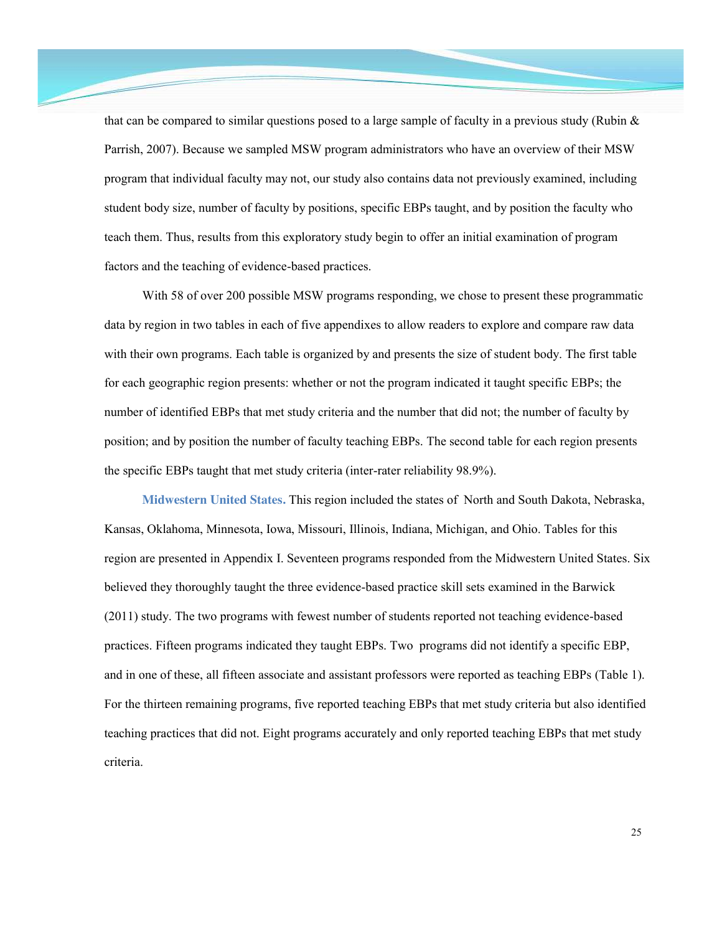that can be compared to similar questions posed to a large sample of faculty in a previous study (Rubin  $\&$ Parrish, 2007). Because we sampled MSW program administrators who have an overview of their MSW program that individual faculty may not, our study also contains data not previously examined, including student body size, number of faculty by positions, specific EBPs taught, and by position the faculty who teach them. Thus, results from this exploratory study begin to offer an initial examination of program factors and the teaching of evidence-based practices.

With 58 of over 200 possible MSW programs responding, we chose to present these programmatic data by region in two tables in each of five appendixes to allow readers to explore and compare raw data with their own programs. Each table is organized by and presents the size of student body. The first table for each geographic region presents: whether or not the program indicated it taught specific EBPs; the number of identified EBPs that met study criteria and the number that did not; the number of faculty by position; and by position the number of faculty teaching EBPs. The second table for each region presents the specific EBPs taught that met study criteria (inter-rater reliability 98.9%).

**Midwestern United States.** This region included the states of North and South Dakota, Nebraska, Kansas, Oklahoma, Minnesota, Iowa, Missouri, Illinois, Indiana, Michigan, and Ohio. Tables for this region are presented in Appendix I. Seventeen programs responded from the Midwestern United States. Six believed they thoroughly taught the three evidence-based practice skill sets examined in the Barwick (2011) study. The two programs with fewest number of students reported not teaching evidence-based practices. Fifteen programs indicated they taught EBPs. Two programs did not identify a specific EBP, and in one of these, all fifteen associate and assistant professors were reported as teaching EBPs (Table 1). For the thirteen remaining programs, five reported teaching EBPs that met study criteria but also identified teaching practices that did not. Eight programs accurately and only reported teaching EBPs that met study criteria.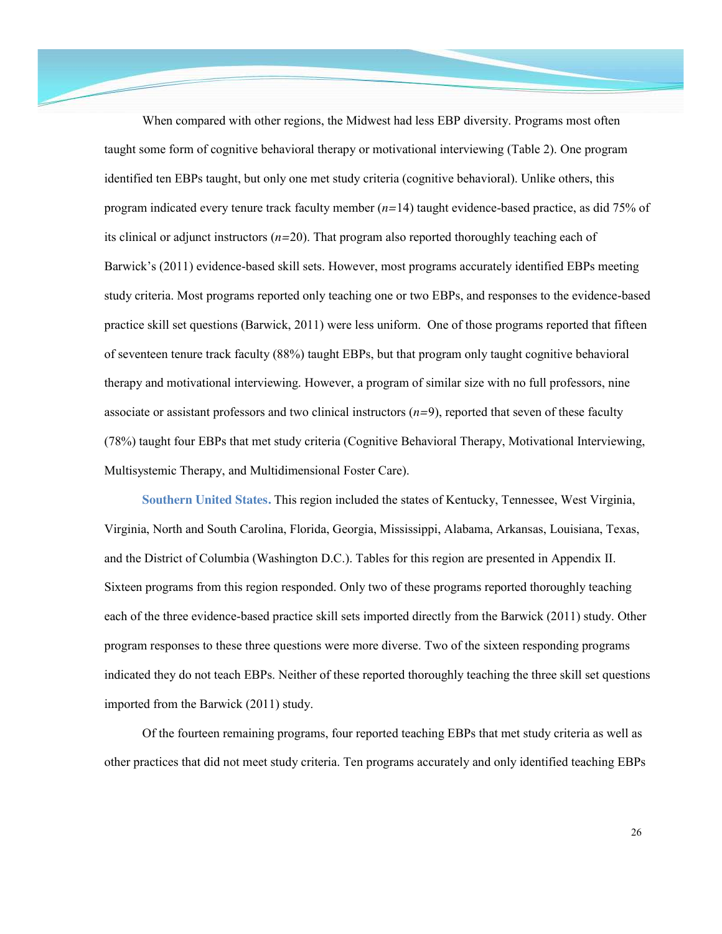When compared with other regions, the Midwest had less EBP diversity. Programs most often taught some form of cognitive behavioral therapy or motivational interviewing (Table 2). One program identified ten EBPs taught, but only one met study criteria (cognitive behavioral). Unlike others, this program indicated every tenure track faculty member (*n=*14) taught evidence-based practice, as did 75% of its clinical or adjunct instructors (*n=*20). That program also reported thoroughly teaching each of Barwick's (2011) evidence-based skill sets. However, most programs accurately identified EBPs meeting study criteria. Most programs reported only teaching one or two EBPs, and responses to the evidence-based practice skill set questions (Barwick, 2011) were less uniform. One of those programs reported that fifteen of seventeen tenure track faculty (88%) taught EBPs, but that program only taught cognitive behavioral therapy and motivational interviewing. However, a program of similar size with no full professors, nine associate or assistant professors and two clinical instructors (*n=*9), reported that seven of these faculty (78%) taught four EBPs that met study criteria (Cognitive Behavioral Therapy, Motivational Interviewing, Multisystemic Therapy, and Multidimensional Foster Care).

**Southern United States.** This region included the states of Kentucky, Tennessee, West Virginia, Virginia, North and South Carolina, Florida, Georgia, Mississippi, Alabama, Arkansas, Louisiana, Texas, and the District of Columbia (Washington D.C.). Tables for this region are presented in Appendix II. Sixteen programs from this region responded. Only two of these programs reported thoroughly teaching each of the three evidence-based practice skill sets imported directly from the Barwick (2011) study. Other program responses to these three questions were more diverse. Two of the sixteen responding programs indicated they do not teach EBPs. Neither of these reported thoroughly teaching the three skill set questions imported from the Barwick (2011) study.

Of the fourteen remaining programs, four reported teaching EBPs that met study criteria as well as other practices that did not meet study criteria. Ten programs accurately and only identified teaching EBPs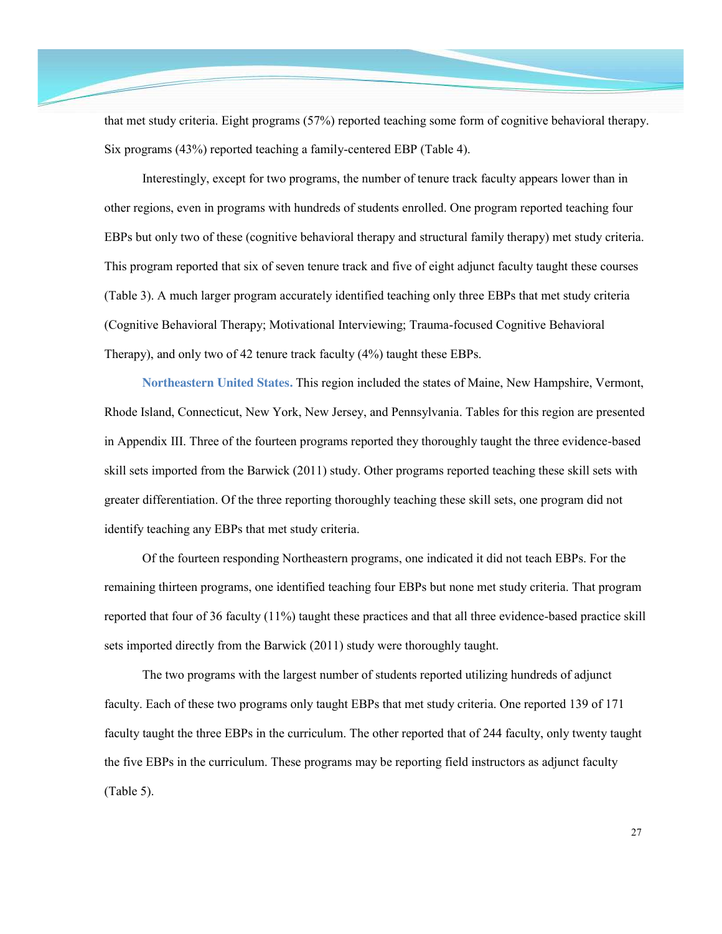that met study criteria. Eight programs (57%) reported teaching some form of cognitive behavioral therapy. Six programs (43%) reported teaching a family-centered EBP (Table 4).

Interestingly, except for two programs, the number of tenure track faculty appears lower than in other regions, even in programs with hundreds of students enrolled. One program reported teaching four EBPs but only two of these (cognitive behavioral therapy and structural family therapy) met study criteria. This program reported that six of seven tenure track and five of eight adjunct faculty taught these courses (Table 3). A much larger program accurately identified teaching only three EBPs that met study criteria (Cognitive Behavioral Therapy; Motivational Interviewing; Trauma-focused Cognitive Behavioral Therapy), and only two of 42 tenure track faculty (4%) taught these EBPs.

**Northeastern United States.** This region included the states of Maine, New Hampshire, Vermont, Rhode Island, Connecticut, New York, New Jersey, and Pennsylvania. Tables for this region are presented in Appendix III. Three of the fourteen programs reported they thoroughly taught the three evidence-based skill sets imported from the Barwick (2011) study. Other programs reported teaching these skill sets with greater differentiation. Of the three reporting thoroughly teaching these skill sets, one program did not identify teaching any EBPs that met study criteria.

Of the fourteen responding Northeastern programs, one indicated it did not teach EBPs. For the remaining thirteen programs, one identified teaching four EBPs but none met study criteria. That program reported that four of 36 faculty (11%) taught these practices and that all three evidence-based practice skill sets imported directly from the Barwick (2011) study were thoroughly taught.

The two programs with the largest number of students reported utilizing hundreds of adjunct faculty. Each of these two programs only taught EBPs that met study criteria. One reported 139 of 171 faculty taught the three EBPs in the curriculum. The other reported that of 244 faculty, only twenty taught the five EBPs in the curriculum. These programs may be reporting field instructors as adjunct faculty (Table 5).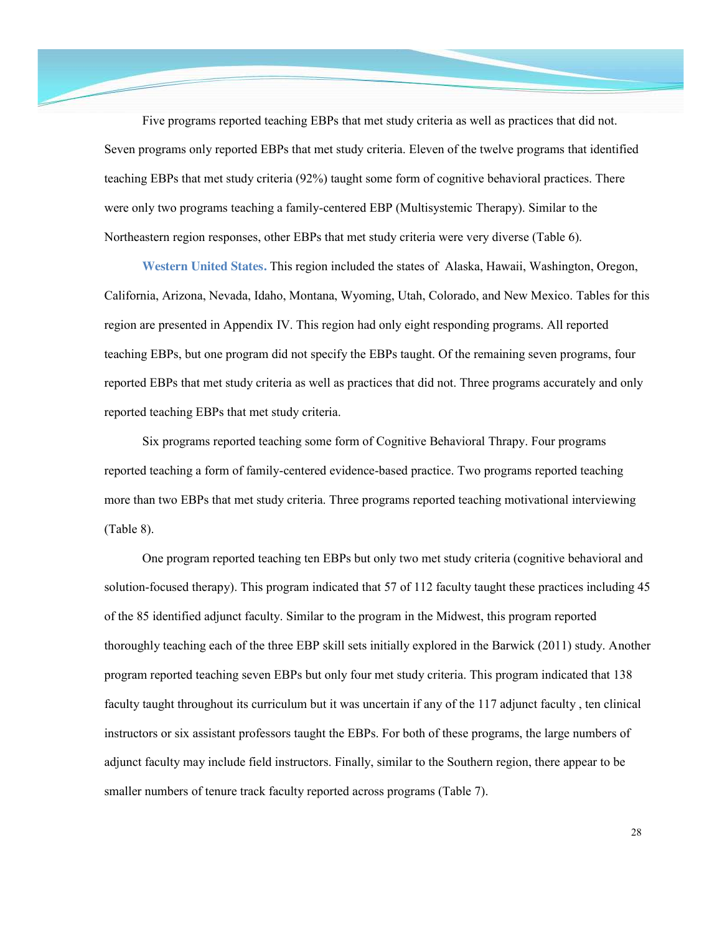Five programs reported teaching EBPs that met study criteria as well as practices that did not. Seven programs only reported EBPs that met study criteria. Eleven of the twelve programs that identified teaching EBPs that met study criteria (92%) taught some form of cognitive behavioral practices. There were only two programs teaching a family-centered EBP (Multisystemic Therapy). Similar to the Northeastern region responses, other EBPs that met study criteria were very diverse (Table 6).

**Western United States.** This region included the states of Alaska, Hawaii, Washington, Oregon, California, Arizona, Nevada, Idaho, Montana, Wyoming, Utah, Colorado, and New Mexico. Tables for this region are presented in Appendix IV. This region had only eight responding programs. All reported teaching EBPs, but one program did not specify the EBPs taught. Of the remaining seven programs, four reported EBPs that met study criteria as well as practices that did not. Three programs accurately and only reported teaching EBPs that met study criteria.

Six programs reported teaching some form of Cognitive Behavioral Thrapy. Four programs reported teaching a form of family-centered evidence-based practice. Two programs reported teaching more than two EBPs that met study criteria. Three programs reported teaching motivational interviewing (Table 8).

One program reported teaching ten EBPs but only two met study criteria (cognitive behavioral and solution-focused therapy). This program indicated that 57 of 112 faculty taught these practices including 45 of the 85 identified adjunct faculty. Similar to the program in the Midwest, this program reported thoroughly teaching each of the three EBP skill sets initially explored in the Barwick (2011) study. Another program reported teaching seven EBPs but only four met study criteria. This program indicated that 138 faculty taught throughout its curriculum but it was uncertain if any of the 117 adjunct faculty , ten clinical instructors or six assistant professors taught the EBPs. For both of these programs, the large numbers of adjunct faculty may include field instructors. Finally, similar to the Southern region, there appear to be smaller numbers of tenure track faculty reported across programs (Table 7).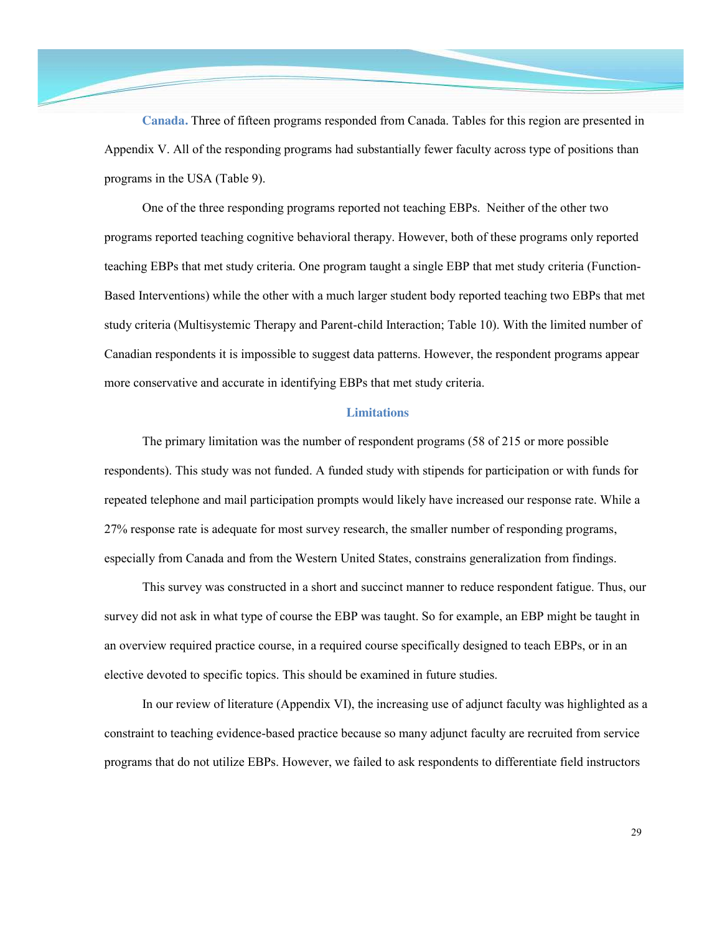**Canada.** Three of fifteen programs responded from Canada. Tables for this region are presented in Appendix V. All of the responding programs had substantially fewer faculty across type of positions than programs in the USA (Table 9).

One of the three responding programs reported not teaching EBPs. Neither of the other two programs reported teaching cognitive behavioral therapy. However, both of these programs only reported teaching EBPs that met study criteria. One program taught a single EBP that met study criteria (Function-Based Interventions) while the other with a much larger student body reported teaching two EBPs that met study criteria (Multisystemic Therapy and Parent-child Interaction; Table 10). With the limited number of Canadian respondents it is impossible to suggest data patterns. However, the respondent programs appear more conservative and accurate in identifying EBPs that met study criteria.

## **Limitations**

The primary limitation was the number of respondent programs (58 of 215 or more possible respondents). This study was not funded. A funded study with stipends for participation or with funds for repeated telephone and mail participation prompts would likely have increased our response rate. While a 27% response rate is adequate for most survey research, the smaller number of responding programs, especially from Canada and from the Western United States, constrains generalization from findings.

This survey was constructed in a short and succinct manner to reduce respondent fatigue. Thus, our survey did not ask in what type of course the EBP was taught. So for example, an EBP might be taught in an overview required practice course, in a required course specifically designed to teach EBPs, or in an elective devoted to specific topics. This should be examined in future studies.

In our review of literature (Appendix VI), the increasing use of adjunct faculty was highlighted as a constraint to teaching evidence-based practice because so many adjunct faculty are recruited from service programs that do not utilize EBPs. However, we failed to ask respondents to differentiate field instructors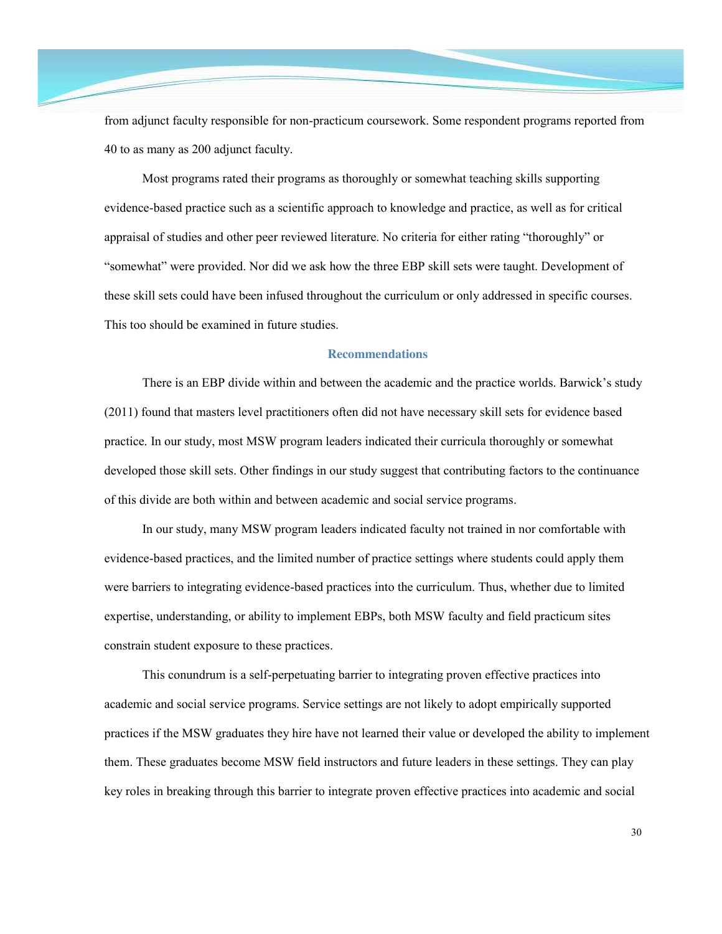from adjunct faculty responsible for non-practicum coursework. Some respondent programs reported from 40 to as many as 200 adjunct faculty.

Most programs rated their programs as thoroughly or somewhat teaching skills supporting evidence-based practice such as a scientific approach to knowledge and practice, as well as for critical appraisal of studies and other peer reviewed literature. No criteria for either rating "thoroughly" or "somewhat" were provided. Nor did we ask how the three EBP skill sets were taught. Development of these skill sets could have been infused throughout the curriculum or only addressed in specific courses. This too should be examined in future studies.

## **Recommendations**

There is an EBP divide within and between the academic and the practice worlds. Barwick's study (2011) found that masters level practitioners often did not have necessary skill sets for evidence based practice. In our study, most MSW program leaders indicated their curricula thoroughly or somewhat developed those skill sets. Other findings in our study suggest that contributing factors to the continuance of this divide are both within and between academic and social service programs.

In our study, many MSW program leaders indicated faculty not trained in nor comfortable with evidence-based practices, and the limited number of practice settings where students could apply them were barriers to integrating evidence-based practices into the curriculum. Thus, whether due to limited expertise, understanding, or ability to implement EBPs, both MSW faculty and field practicum sites constrain student exposure to these practices.

This conundrum is a self-perpetuating barrier to integrating proven effective practices into academic and social service programs. Service settings are not likely to adopt empirically supported practices if the MSW graduates they hire have not learned their value or developed the ability to implement them. These graduates become MSW field instructors and future leaders in these settings. They can play key roles in breaking through this barrier to integrate proven effective practices into academic and social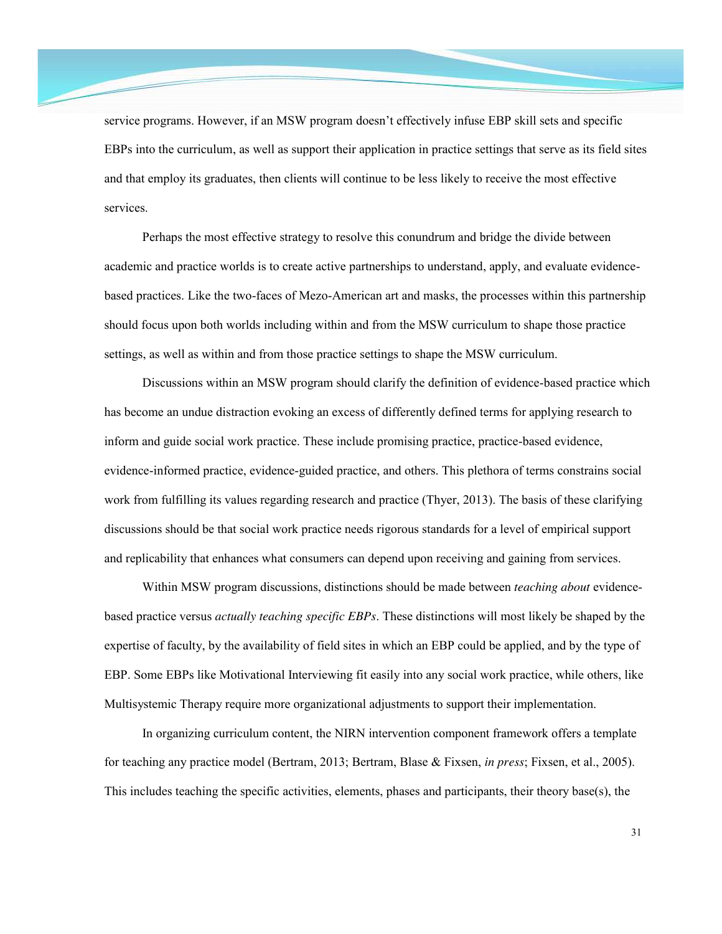service programs. However, if an MSW program doesn't effectively infuse EBP skill sets and specific EBPs into the curriculum, as well as support their application in practice settings that serve as its field sites and that employ its graduates, then clients will continue to be less likely to receive the most effective services.

Perhaps the most effective strategy to resolve this conundrum and bridge the divide between academic and practice worlds is to create active partnerships to understand, apply, and evaluate evidencebased practices. Like the two-faces of Mezo-American art and masks, the processes within this partnership should focus upon both worlds including within and from the MSW curriculum to shape those practice settings, as well as within and from those practice settings to shape the MSW curriculum.

Discussions within an MSW program should clarify the definition of evidence-based practice which has become an undue distraction evoking an excess of differently defined terms for applying research to inform and guide social work practice. These include promising practice, practice-based evidence, evidence-informed practice, evidence-guided practice, and others. This plethora of terms constrains social work from fulfilling its values regarding research and practice (Thyer, 2013). The basis of these clarifying discussions should be that social work practice needs rigorous standards for a level of empirical support and replicability that enhances what consumers can depend upon receiving and gaining from services.

Within MSW program discussions, distinctions should be made between *teaching about* evidencebased practice versus *actually teaching specific EBPs*. These distinctions will most likely be shaped by the expertise of faculty, by the availability of field sites in which an EBP could be applied, and by the type of EBP. Some EBPs like Motivational Interviewing fit easily into any social work practice, while others, like Multisystemic Therapy require more organizational adjustments to support their implementation.

In organizing curriculum content, the NIRN intervention component framework offers a template for teaching any practice model (Bertram, 2013; Bertram, Blase & Fixsen, *in press*; Fixsen, et al., 2005). This includes teaching the specific activities, elements, phases and participants, their theory base(s), the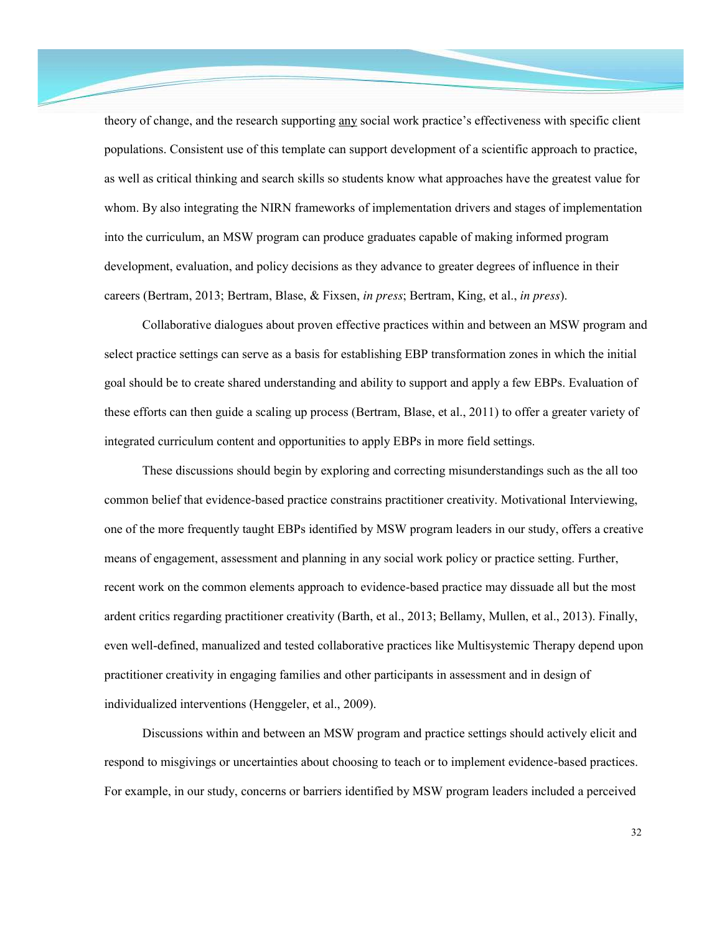theory of change, and the research supporting any social work practice's effectiveness with specific client populations. Consistent use of this template can support development of a scientific approach to practice, as well as critical thinking and search skills so students know what approaches have the greatest value for whom. By also integrating the NIRN frameworks of implementation drivers and stages of implementation into the curriculum, an MSW program can produce graduates capable of making informed program development, evaluation, and policy decisions as they advance to greater degrees of influence in their careers (Bertram, 2013; Bertram, Blase, & Fixsen, *in press*; Bertram, King, et al., *in press*).

Collaborative dialogues about proven effective practices within and between an MSW program and select practice settings can serve as a basis for establishing EBP transformation zones in which the initial goal should be to create shared understanding and ability to support and apply a few EBPs. Evaluation of these efforts can then guide a scaling up process (Bertram, Blase, et al., 2011) to offer a greater variety of integrated curriculum content and opportunities to apply EBPs in more field settings.

These discussions should begin by exploring and correcting misunderstandings such as the all too common belief that evidence-based practice constrains practitioner creativity. Motivational Interviewing, one of the more frequently taught EBPs identified by MSW program leaders in our study, offers a creative means of engagement, assessment and planning in any social work policy or practice setting. Further, recent work on the common elements approach to evidence-based practice may dissuade all but the most ardent critics regarding practitioner creativity (Barth, et al., 2013; Bellamy, Mullen, et al., 2013). Finally, even well-defined, manualized and tested collaborative practices like Multisystemic Therapy depend upon practitioner creativity in engaging families and other participants in assessment and in design of individualized interventions (Henggeler, et al., 2009).

Discussions within and between an MSW program and practice settings should actively elicit and respond to misgivings or uncertainties about choosing to teach or to implement evidence-based practices. For example, in our study, concerns or barriers identified by MSW program leaders included a perceived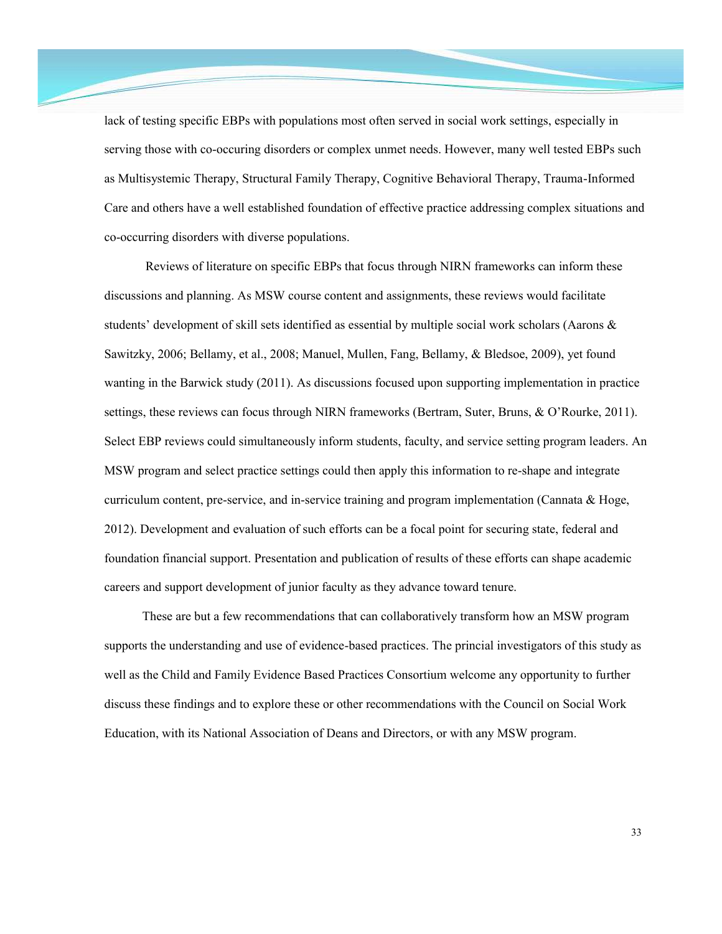lack of testing specific EBPs with populations most often served in social work settings, especially in serving those with co-occuring disorders or complex unmet needs. However, many well tested EBPs such as Multisystemic Therapy, Structural Family Therapy, Cognitive Behavioral Therapy, Trauma-Informed Care and others have a well established foundation of effective practice addressing complex situations and co-occurring disorders with diverse populations.

Reviews of literature on specific EBPs that focus through NIRN frameworks can inform these discussions and planning. As MSW course content and assignments, these reviews would facilitate students' development of skill sets identified as essential by multiple social work scholars (Aarons & Sawitzky, 2006; Bellamy, et al., 2008; Manuel, Mullen, Fang, Bellamy, & Bledsoe, 2009), yet found wanting in the Barwick study (2011). As discussions focused upon supporting implementation in practice settings, these reviews can focus through NIRN frameworks (Bertram, Suter, Bruns, & O'Rourke, 2011). Select EBP reviews could simultaneously inform students, faculty, and service setting program leaders. An MSW program and select practice settings could then apply this information to re-shape and integrate curriculum content, pre-service, and in-service training and program implementation (Cannata  $\&$  Hoge, 2012). Development and evaluation of such efforts can be a focal point for securing state, federal and foundation financial support. Presentation and publication of results of these efforts can shape academic careers and support development of junior faculty as they advance toward tenure.

These are but a few recommendations that can collaboratively transform how an MSW program supports the understanding and use of evidence-based practices. The princial investigators of this study as well as the Child and Family Evidence Based Practices Consortium welcome any opportunity to further discuss these findings and to explore these or other recommendations with the Council on Social Work Education, with its National Association of Deans and Directors, or with any MSW program.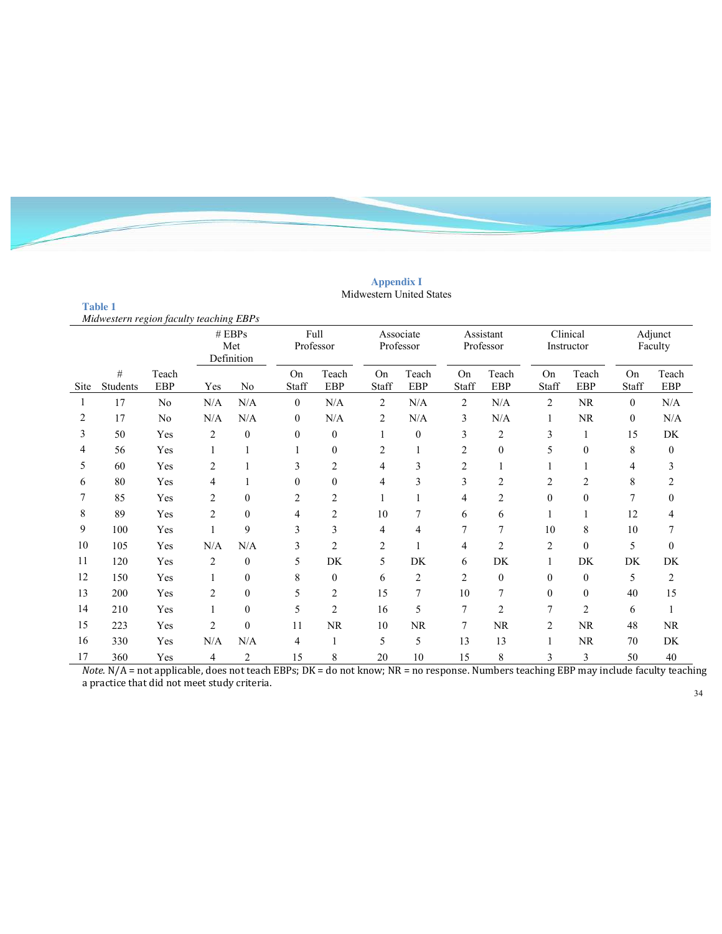#### **Appendix I** Midwestern United States

**Table 1** 

|                    | Midwestern region faculty teaching EBPs |                     |                             |                  |                    |                     |                                   |                        |                    |                        |                   |                        |                                                      |                    |  |
|--------------------|-----------------------------------------|---------------------|-----------------------------|------------------|--------------------|---------------------|-----------------------------------|------------------------|--------------------|------------------------|-------------------|------------------------|------------------------------------------------------|--------------------|--|
|                    |                                         |                     | # EBPs<br>Met<br>Definition |                  |                    | Full<br>Professor   |                                   | Associate<br>Professor |                    | Assistant<br>Professor |                   | Clinical<br>Instructor |                                                      | Adjunct<br>Faculty |  |
| Site               | #<br>Students                           | Teach<br><b>EBP</b> | Yes                         | N <sub>o</sub>   | <b>On</b><br>Staff | Teach<br><b>EBP</b> | On<br>Staff                       | Teach<br>EBP           | On<br>Staff        | Teach<br>EBP           | On<br>Staff       | Teach<br>EBP           | On<br>Staff                                          | Teach<br>EBP       |  |
|                    | 17                                      | No                  | N/A                         | N/A              | $\overline{0}$     | N/A                 | 2                                 | N/A                    | 2                  | N/A                    | $\overline{2}$    | <b>NR</b>              | $\mathbf{0}$                                         | N/A                |  |
| 2                  | 17                                      | No                  | N/A                         | N/A              | $\overline{0}$     | N/A                 | $\overline{c}$                    | N/A                    | 3                  | N/A                    | 1                 | NR                     | $\mathbf{0}$                                         | $\rm N/A$          |  |
| 3                  | 50                                      | Yes                 | 2                           | $\theta$         | $\Omega$           | $\theta$            |                                   | $\theta$               | 3                  | $\overline{c}$         | 3                 | 1                      | 15                                                   | DK                 |  |
| 4                  | 56                                      | Yes                 |                             |                  |                    | $\theta$            | $\overline{c}$                    |                        | $\overline{c}$     | $\mathbf{0}$           | 5                 | $\theta$               | 8                                                    | $\overline{0}$     |  |
| 5                  | 60                                      | Yes                 | 2                           |                  | 3                  | $\overline{2}$      | 4                                 | 3                      | $\overline{c}$     |                        |                   |                        | 4                                                    | 3                  |  |
| 6                  | 80                                      | Yes                 | 4                           |                  | $\Omega$           | $\theta$            | 4                                 | 3                      | 3                  | $\overline{2}$         | 2                 | $\overline{2}$         | 8                                                    | 2                  |  |
|                    | 85                                      | Yes                 | 2                           | $\mathbf{0}$     | 2                  | $\overline{2}$      |                                   |                        | 4                  | $\overline{2}$         | $\Omega$          | $\theta$               | 7                                                    | $\overline{0}$     |  |
| 8                  | 89                                      | Yes                 | 2                           | $\mathbf{0}$     | 4                  | 2                   | 10                                | 7                      | 6                  | 6                      |                   |                        | 12                                                   | 4                  |  |
| 9                  | 100                                     | Yes                 |                             | 9                | 3                  | 3                   | 4                                 | 4                      |                    | 7                      | 10                | 8                      | 10                                                   |                    |  |
| 10                 | 105                                     | Yes                 | N/A                         | N/A              | 3                  | $\overline{2}$      | $\overline{c}$                    |                        | 4                  | $\overline{c}$         | $\overline{c}$    | $\mathbf{0}$           | 5                                                    | $\overline{0}$     |  |
| 11                 | 120                                     | Yes                 | 2                           | $\mathbf{0}$     | 5                  | DK                  | 5                                 | DK                     | 6                  | DK                     |                   | <b>DK</b>              | DK                                                   | DK                 |  |
| 12                 | 150                                     | Yes                 |                             | $\mathbf{0}$     | 8                  | $\theta$            | 6                                 | $\overline{2}$         | 2                  | $\mathbf{0}$           | $\Omega$          | $\mathbf{0}$           | 5                                                    | 2                  |  |
| 13                 | 200                                     | Yes                 | $\overline{c}$              | $\Omega$         | 5                  | $\overline{2}$      | 15                                | 7                      | 10                 |                        | 0                 | $\theta$               | 40                                                   | 15                 |  |
| 14                 | 210                                     | Yes                 |                             | $\mathbf{0}$     | 5                  | $\overline{2}$      | 16                                | 5                      | 7                  | $\overline{2}$         |                   | $\overline{2}$         | 6                                                    |                    |  |
| 15                 | 223                                     | Yes                 | $\overline{c}$              | $\boldsymbol{0}$ | 11                 | NR                  | 10                                | <b>NR</b>              | 7                  | NR                     | $\overline{2}$    | NR                     | 48                                                   | <b>NR</b>          |  |
| 16                 | 330                                     | Yes                 | N/A                         | N/A              | 4                  | 1                   | 5                                 | 5                      | 13                 | 13                     |                   | <b>NR</b>              | 70                                                   | DK                 |  |
| 17<br>$\mathbf{r}$ | 360<br><b>BT / A</b>                    | Yes<br>1.7.1.1      | 4<br>$\mathbf{L}$           | $\overline{2}$   | 15<br>$\sqrt{1}$   | 8                   | 20<br>$\sim$ 1.<br>$\overline{1}$ | 10                     | 15<br>$\mathbf{r}$ | 8                      | 3<br>$\mathbf{u}$ | 3<br>mnn               | 50<br>$\mathbf{r}$ and $\mathbf{r}$ and $\mathbf{r}$ | 40                 |  |

*Note.* N/A = not applicable, does not teach EBPs; DK = do not know; NR = no response. Numbers teaching EBP may include faculty teaching a practice that did not meet study criteria.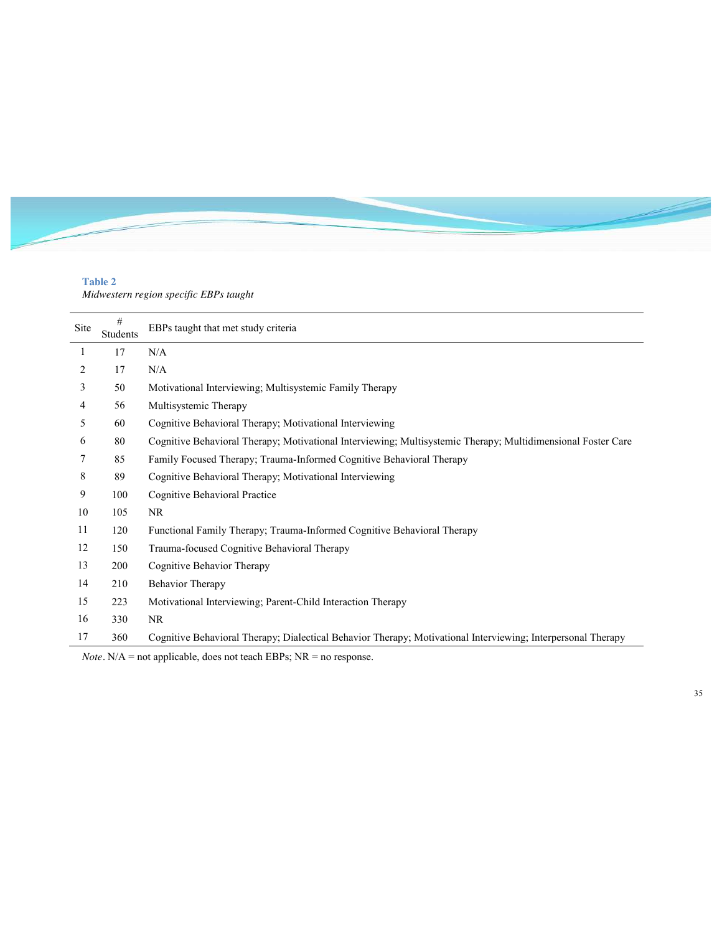# **Table 2**

*Midwestern region specific EBPs taught*

| <b>Site</b> | $\#$<br>Students | EBPs taught that met study criteria                                                                          |
|-------------|------------------|--------------------------------------------------------------------------------------------------------------|
| 1           | 17               | N/A                                                                                                          |
| 2           | 17               | N/A                                                                                                          |
| 3           | 50               | Motivational Interviewing; Multisystemic Family Therapy                                                      |
| 4           | 56               | Multisystemic Therapy                                                                                        |
| 5           | 60               | Cognitive Behavioral Therapy; Motivational Interviewing                                                      |
| 6           | 80               | Cognitive Behavioral Therapy; Motivational Interviewing; Multisystemic Therapy; Multidimensional Foster Care |
|             | 85               | Family Focused Therapy; Trauma-Informed Cognitive Behavioral Therapy                                         |
| 8           | 89               | Cognitive Behavioral Therapy; Motivational Interviewing                                                      |
| 9           | 100              | Cognitive Behavioral Practice                                                                                |
| 10          | 105              | <b>NR</b>                                                                                                    |
| 11          | 120              | Functional Family Therapy; Trauma-Informed Cognitive Behavioral Therapy                                      |
| 12          | 150              | Trauma-focused Cognitive Behavioral Therapy                                                                  |
| 13          | 200              | Cognitive Behavior Therapy                                                                                   |
| 14          | 210              | <b>Behavior Therapy</b>                                                                                      |
| 15          | 223              | Motivational Interviewing; Parent-Child Interaction Therapy                                                  |
| 16          | 330              | <b>NR</b>                                                                                                    |
| 17          | 360              | Cognitive Behavioral Therapy; Dialectical Behavior Therapy; Motivational Interviewing; Interpersonal Therapy |

*Note.* N/A = not applicable, does not teach EBPs; NR = no response.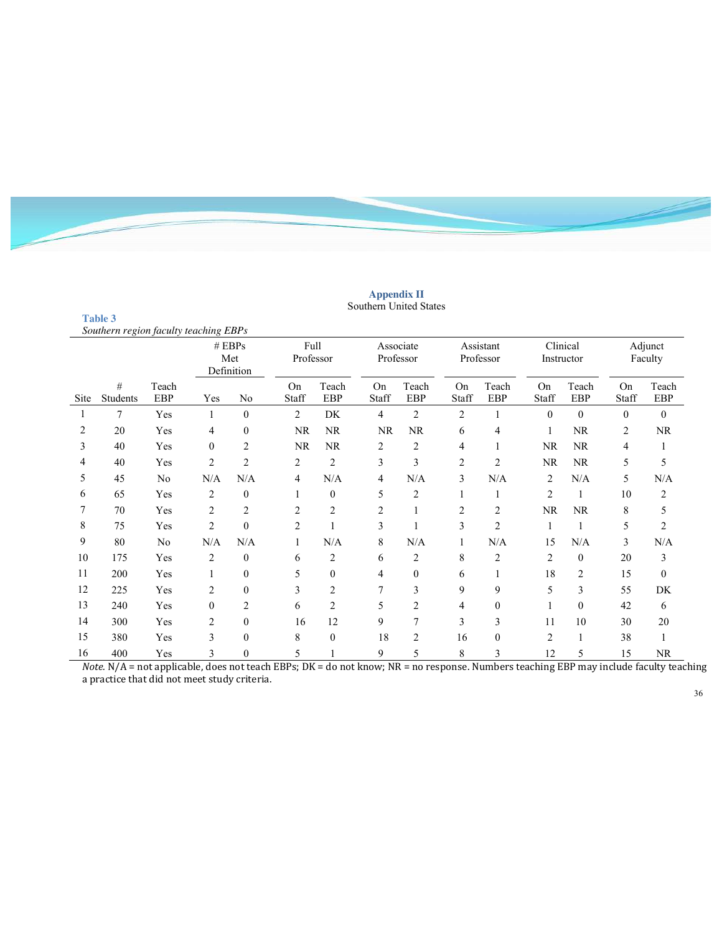#### **Appendix II** Southern United States

**Table 3** 

|      | Southern region faculty teaching EBPs |                     |                             |                  |                |                     |                |                        |                |                        |                |                        |             |                     |
|------|---------------------------------------|---------------------|-----------------------------|------------------|----------------|---------------------|----------------|------------------------|----------------|------------------------|----------------|------------------------|-------------|---------------------|
|      |                                       |                     | # EBPs<br>Met<br>Definition |                  |                |                     |                | Associate<br>Professor |                | Assistant<br>Professor |                | Clinical<br>Instructor |             | Adjunct<br>Faculty  |
| Site | #<br>Students                         | Teach<br><b>EBP</b> | Yes                         | N <sub>0</sub>   | On<br>Staff    | Teach<br><b>EBP</b> | On<br>Staff    | Teach<br><b>EBP</b>    | On<br>Staff    | Teach<br>EBP           | On<br>Staff    | Teach<br><b>EBP</b>    | On<br>Staff | Teach<br><b>EBP</b> |
|      | 7                                     | Yes                 |                             | $\overline{0}$   | $\overline{2}$ | DK                  | 4              | $\overline{2}$         | 2              |                        | $\theta$       | $\theta$               | $\theta$    | $\mathbf{0}$        |
| 2    | 20                                    | Yes                 | 4                           | $\overline{0}$   | <b>NR</b>      | <b>NR</b>           | <b>NR</b>      | <b>NR</b>              | 6              | 4                      | 1              | <b>NR</b>              | 2           | <b>NR</b>           |
| 3    | 40                                    | Yes                 | $\Omega$                    | $\overline{c}$   | <b>NR</b>      | <b>NR</b>           | 2              | $\overline{2}$         | 4              |                        | <b>NR</b>      | NR.                    | 4           |                     |
| 4    | 40                                    | Yes                 | $\overline{c}$              | $\overline{c}$   | 2              | $\overline{2}$      | 3              | 3                      | $\overline{2}$ | $\overline{2}$         | <b>NR</b>      | <b>NR</b>              | 5           | 5                   |
| 5    | 45                                    | No                  | N/A                         | N/A              | 4              | N/A                 | 4              | N/A                    | 3              | N/A                    | $\overline{c}$ | N/A                    | 5           | N/A                 |
| 6    | 65                                    | Yes                 | 2                           | $\overline{0}$   |                | $\mathbf{0}$        | 5              | $\overline{2}$         |                |                        | $\overline{2}$ | 1                      | 10          | 2                   |
| 7    | 70                                    | Yes                 | 2                           | 2                | $\overline{c}$ | $\overline{2}$      | $\overline{2}$ | 1                      | 2              | 2                      | <b>NR</b>      | <b>NR</b>              | 8           | 5                   |
| 8    | 75                                    | Yes                 | $\overline{c}$              | $\theta$         | $\overline{2}$ |                     | 3              |                        | 3              | $\overline{2}$         | 1              |                        | 5           | $\overline{c}$      |
| 9    | 80                                    | No                  | N/A                         | N/A              |                | N/A                 | 8              | N/A                    | 1              | N/A                    | 15             | N/A                    | 3           | N/A                 |
| 10   | 175                                   | Yes                 | 2                           | $\overline{0}$   | 6              | $\overline{c}$      | 6              | $\overline{c}$         | 8              | $\overline{2}$         | $\overline{2}$ | $\boldsymbol{0}$       | 20          | 3                   |
| 11   | 200                                   | Yes                 |                             | $\overline{0}$   | 5              | $\mathbf{0}$        | 4              | $\mathbf{0}$           | 6              |                        | 18             | $\overline{2}$         | 15          | $\mathbf{0}$        |
| 12   | 225                                   | Yes                 | $\overline{c}$              | $\overline{0}$   | 3              | $\overline{c}$      | 7              | 3                      | 9              | 9                      | 5              | 3                      | 55          | DK                  |
| 13   | 240                                   | Yes                 | $\theta$                    | $\overline{2}$   | 6              | $\overline{2}$      | 5              | $\overline{2}$         | 4              | $\theta$               |                | $\mathbf{0}$           | 42          | 6                   |
| 14   | 300                                   | Yes                 | $\overline{2}$              | $\overline{0}$   | 16             | 12                  | 9              | 7                      | 3              | 3                      | 11             | 10                     | 30          | 20                  |
| 15   | 380                                   | Yes                 | 3                           | $\mathbf{0}$     | 8              | $\mathbf{0}$        | 18             | $\overline{2}$         | 16             | $\overline{0}$         | $\overline{2}$ | 1                      | 38          |                     |
| 16   | 400                                   | Yes                 | 3                           | $\boldsymbol{0}$ | 5              |                     | 9              | 5                      | 8              | 3                      | 12             | 5                      | 15          | <b>NR</b>           |

*Note.* N/A = not applicable, does not teach EBPs; DK = do not know; NR = no response. Numbers teaching EBP may include faculty teaching a practice that did not meet study criteria.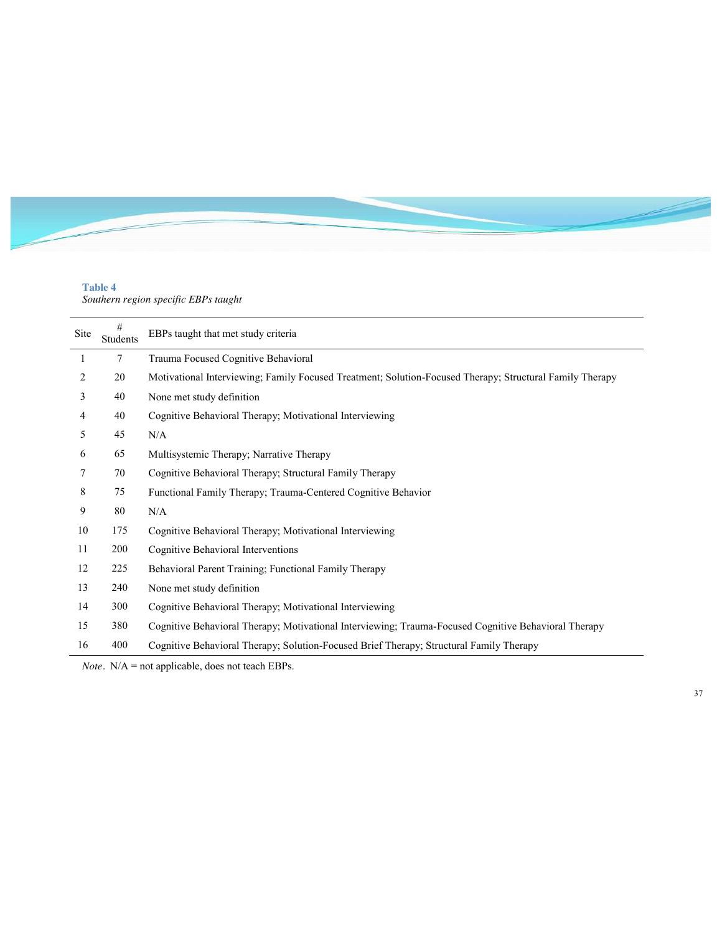## **Table 4**

*Southern region specific EBPs taught*

| Site | $\#$<br><b>Students</b> | EBPs taught that met study criteria                                                                      |
|------|-------------------------|----------------------------------------------------------------------------------------------------------|
| 1    | 7                       | Trauma Focused Cognitive Behavioral                                                                      |
| 2    | 20                      | Motivational Interviewing; Family Focused Treatment; Solution-Focused Therapy; Structural Family Therapy |
| 3    | 40                      | None met study definition                                                                                |
| 4    | 40                      | Cognitive Behavioral Therapy; Motivational Interviewing                                                  |
| 5    | 45                      | N/A                                                                                                      |
| 6    | 65                      | Multisystemic Therapy; Narrative Therapy                                                                 |
| 7    | 70                      | Cognitive Behavioral Therapy; Structural Family Therapy                                                  |
| 8    | 75                      | Functional Family Therapy; Trauma-Centered Cognitive Behavior                                            |
| 9    | 80                      | N/A                                                                                                      |
| 10   | 175                     | Cognitive Behavioral Therapy; Motivational Interviewing                                                  |
| 11   | 200                     | Cognitive Behavioral Interventions                                                                       |
| 12   | 225                     | Behavioral Parent Training; Functional Family Therapy                                                    |
| 13   | 240                     | None met study definition                                                                                |
| 14   | 300                     | Cognitive Behavioral Therapy; Motivational Interviewing                                                  |
| 15   | 380                     | Cognitive Behavioral Therapy; Motivational Interviewing; Trauma-Focused Cognitive Behavioral Therapy     |
| 16   | 400                     | Cognitive Behavioral Therapy; Solution-Focused Brief Therapy; Structural Family Therapy                  |

*Note.* N/A = not applicable, does not teach EBPs.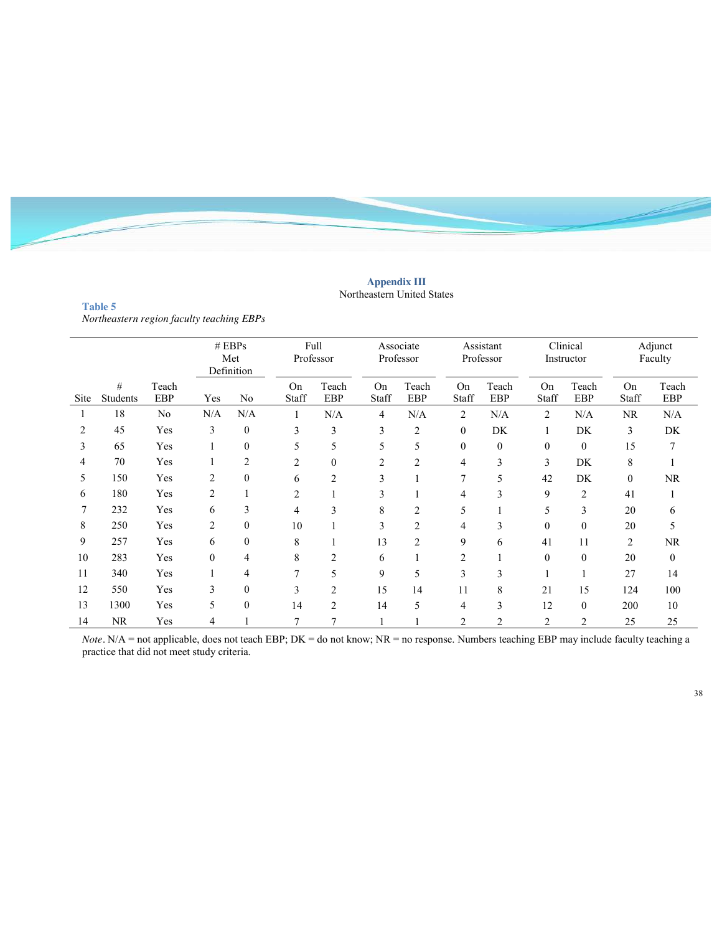

#### **Appendix III** Northeastern United States

**Table 5**  *Northeastern region faculty teaching EBPs*

|      |               |                     |                | # EBPs<br>Met<br>Definition | Full<br>Professor |                |                | Associate<br>Professor |             | Assistant<br>Professor |             | Clinical<br>Instructor |                | Adjunct<br>Faculty  |
|------|---------------|---------------------|----------------|-----------------------------|-------------------|----------------|----------------|------------------------|-------------|------------------------|-------------|------------------------|----------------|---------------------|
| Site | #<br>Students | Teach<br><b>EBP</b> | Yes            | No                          | On<br>Staff       | Teach<br>EBP   | On<br>Staff    | Teach<br><b>EBP</b>    | On<br>Staff | Teach<br>EBP           | On<br>Staff | Teach<br>EBP           | On<br>Staff    | Teach<br><b>EBP</b> |
| ш    | 18            | N <sub>0</sub>      | N/A            | N/A                         |                   | N/A            | 4              | N/A                    | 2           | N/A                    | 2           | N/A                    | <b>NR</b>      | N/A                 |
| 2    | 45            | Yes                 | 3              | $\mathbf{0}$                | 3                 | 3              | 3              | $\overline{2}$         | $\Omega$    | DK                     |             | DK                     | 3              | DK                  |
| 3    | 65            | Yes                 |                | 0                           | 5                 | 5              | 5              | 5                      | $\theta$    | $\mathbf{0}$           | $\theta$    | $\mathbf{0}$           | 15             | 7                   |
| 4    | 70            | Yes                 |                | $\overline{c}$              | 2                 | $\mathbf{0}$   | $\overline{2}$ | 2                      | 4           | 3                      | 3           | DK                     | 8              |                     |
| 5    | 150           | Yes                 | 2              | $\theta$                    | 6                 | 2              | 3              |                        |             | 5                      | 42          | DK                     | $\theta$       | NR                  |
| 6    | 180           | Yes                 | 2              |                             | $\overline{c}$    |                | 3              |                        | 4           | 3                      | 9           | $\overline{2}$         | 41             |                     |
| 7    | 232           | Yes                 | 6              | 3                           | 4                 | 3              | 8              | 2                      | 5           |                        | 5           | 3                      | 20             | 6                   |
| 8    | 250           | Yes                 | $\overline{c}$ | $\theta$                    | 10                |                | 3              | 2                      | 4           | 3                      | $\Omega$    | $\theta$               | 20             | 5                   |
| 9    | 257           | Yes                 | 6              | $\theta$                    | 8                 |                | 13             | $\overline{2}$         | 9           | 6                      | 41          | 11                     | $\overline{2}$ | <b>NR</b>           |
| 10   | 283           | Yes                 | $\Omega$       | 4                           | 8                 | $\overline{2}$ | 6              |                        | 2           |                        | $\Omega$    | $\theta$               | 20             | $\mathbf{0}$        |
| 11   | 340           | Yes                 |                | 4                           | 7                 | 5              | 9              | 5                      | 3           | 3                      |             |                        | 27             | 14                  |
| 12   | 550           | Yes                 | 3              | $\mathbf{0}$                | 3                 | $\overline{2}$ | 15             | 14                     | 11          | 8                      | 21          | 15                     | 124            | 100                 |
| 13   | 1300          | Yes                 | 5              | $\theta$                    | 14                | $\overline{2}$ | 14             | 5                      | 4           | 3                      | 12          | $\theta$               | 200            | 10                  |
| 14   | NR            | Yes                 | 4              |                             | 7                 |                |                |                        | 2           | $\overline{2}$         | 2           | $\overline{2}$         | 25             | 25                  |

*Note*. N/A = not applicable, does not teach EBP; DK = do not know; NR = no response. Numbers teaching EBP may include faculty teaching a practice that did not meet study criteria.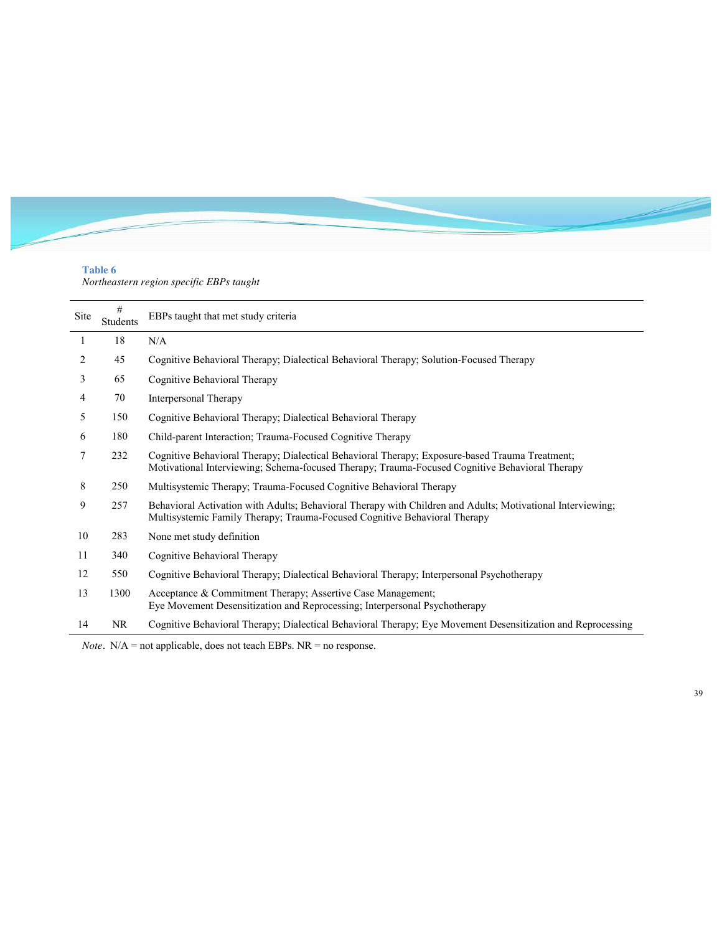# **Table 6**

*Northeastern region specific EBPs taught*

| Site | #<br><b>Students</b> | EBPs taught that met study criteria                                                                                                                                                              |
|------|----------------------|--------------------------------------------------------------------------------------------------------------------------------------------------------------------------------------------------|
| 1    | 18                   | N/A                                                                                                                                                                                              |
| 2    | 45                   | Cognitive Behavioral Therapy; Dialectical Behavioral Therapy; Solution-Focused Therapy                                                                                                           |
| 3    | 65                   | Cognitive Behavioral Therapy                                                                                                                                                                     |
| 4    | 70                   | Interpersonal Therapy                                                                                                                                                                            |
| 5    | 150                  | Cognitive Behavioral Therapy; Dialectical Behavioral Therapy                                                                                                                                     |
| 6    | 180                  | Child-parent Interaction; Trauma-Focused Cognitive Therapy                                                                                                                                       |
| 7    | 232                  | Cognitive Behavioral Therapy; Dialectical Behavioral Therapy; Exposure-based Trauma Treatment;<br>Motivational Interviewing; Schema-focused Therapy; Trauma-Focused Cognitive Behavioral Therapy |
| 8    | 250                  | Multisystemic Therapy; Trauma-Focused Cognitive Behavioral Therapy                                                                                                                               |
| 9    | 257                  | Behavioral Activation with Adults; Behavioral Therapy with Children and Adults; Motivational Interviewing;<br>Multisystemic Family Therapy; Trauma-Focused Cognitive Behavioral Therapy          |
| 10   | 283                  | None met study definition                                                                                                                                                                        |
| 11   | 340                  | Cognitive Behavioral Therapy                                                                                                                                                                     |
| 12   | 550                  | Cognitive Behavioral Therapy; Dialectical Behavioral Therapy; Interpersonal Psychotherapy                                                                                                        |
| 13   | 1300                 | Acceptance & Commitment Therapy; Assertive Case Management;<br>Eye Movement Desensitization and Reprocessing; Interpersonal Psychotherapy                                                        |
| 14   | NR                   | Cognitive Behavioral Therapy; Dialectical Behavioral Therapy; Eye Movement Desensitization and Reprocessing                                                                                      |

*Note.* N/A = not applicable, does not teach EBPs. NR = no response.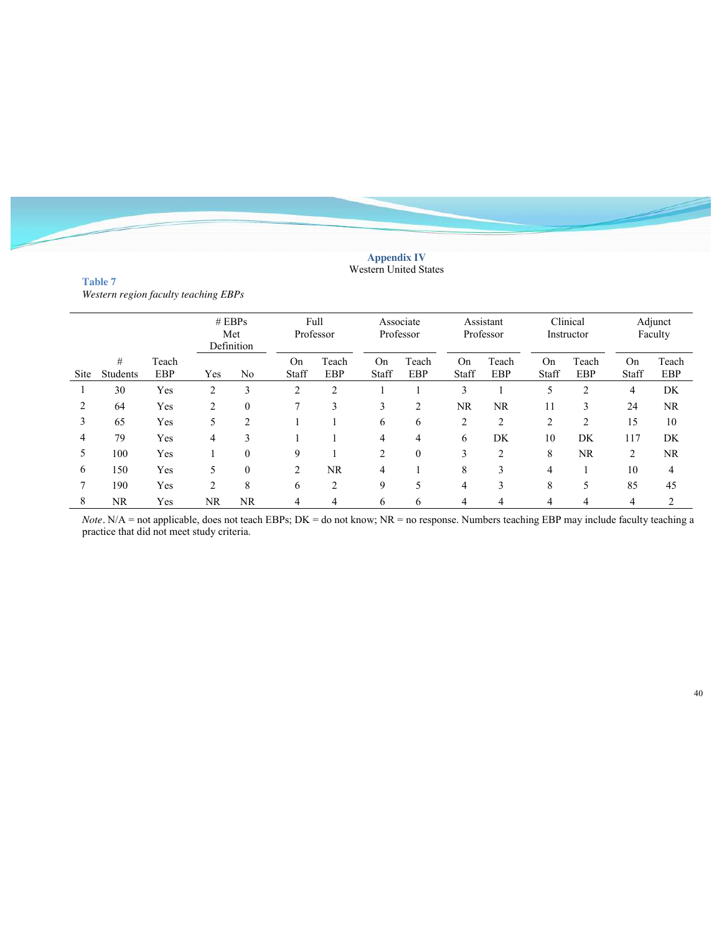#### **Appendix IV** Western United States

> Teach EBP

|      | Western region faculty teaching EBPs |                     |     |                               |             |              |             |                        |             |                        |             |                        |             |                    |
|------|--------------------------------------|---------------------|-----|-------------------------------|-------------|--------------|-------------|------------------------|-------------|------------------------|-------------|------------------------|-------------|--------------------|
|      |                                      |                     |     | $#$ EBPs<br>Met<br>Definition | Full        | Professor    |             | Associate<br>Professor |             | Assistant<br>Professor |             | Clinical<br>Instructor |             | Adjunct<br>Faculty |
| Site | #<br>Students                        | Teach<br><b>EBP</b> | Yes | No                            | On<br>Staff | Teach<br>EBP | On<br>Staff | Teach<br>EBP           | On<br>Staff | Teach<br>EBP           | On<br>Staff | Teach<br>EBP           | On<br>Staff | Teac<br>EBI        |
|      | 30                                   | Yes                 |     |                               |             |              |             |                        |             |                        |             |                        |             | DK                 |

**Table 7**  *Western region faculty teaching EBPs*

*Note*. N/A = not applicable, does not teach EBPs; DK = do not know; NR = no response. Numbers teaching EBP may include faculty teaching a practice that did not meet study criteria.

 64 Yes 2 0 7 3 3 2 NR NR 11 3 24 NR 65 Yes 5 2 1 1 6 6 2 2 2 2 15 10 79 Yes 4 3 1 1 4 4 6 DK 10 DK 117 DK 100 Yes 1 0 9 1 2 0 3 2 8 NR 2 NR 150 Yes 5 0 2 NR 4 1 8 3 4 1 10 4 190 Yes 2 8 6 2 9 5 4 3 8 5 85 45 NR Yes NR NR 4 4 6 6 4 4 4 4 4 2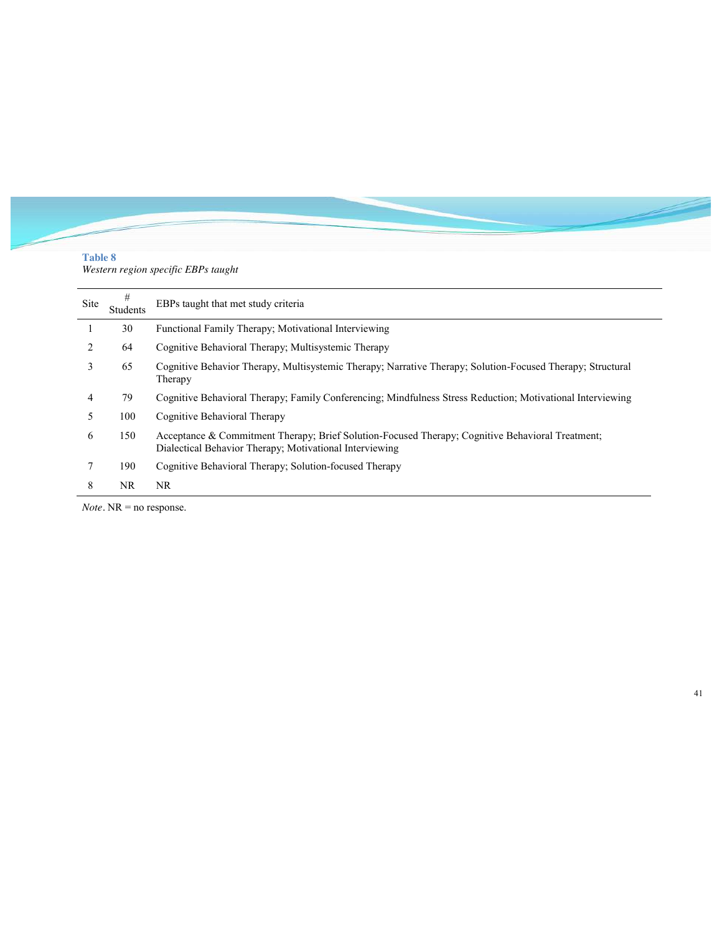# **Table 8**

*Western region specific EBPs taught*

| Site | #<br>Students | EBPs taught that met study criteria                                                                                                                         |
|------|---------------|-------------------------------------------------------------------------------------------------------------------------------------------------------------|
|      | 30            | Functional Family Therapy; Motivational Interviewing                                                                                                        |
| 2    | 64            | Cognitive Behavioral Therapy; Multisystemic Therapy                                                                                                         |
| 3    | 65            | Cognitive Behavior Therapy, Multisystemic Therapy; Narrative Therapy; Solution-Focused Therapy; Structural<br>Therapy                                       |
| 4    | 79            | Cognitive Behavioral Therapy; Family Conferencing; Mindfulness Stress Reduction; Motivational Interviewing                                                  |
| 5    | 100           | Cognitive Behavioral Therapy                                                                                                                                |
| 6    | 150           | Acceptance & Commitment Therapy; Brief Solution-Focused Therapy; Cognitive Behavioral Treatment;<br>Dialectical Behavior Therapy; Motivational Interviewing |
|      | 190           | Cognitive Behavioral Therapy; Solution-focused Therapy                                                                                                      |
| 8    | NR.           | NR.                                                                                                                                                         |

*Note.* NR = no response.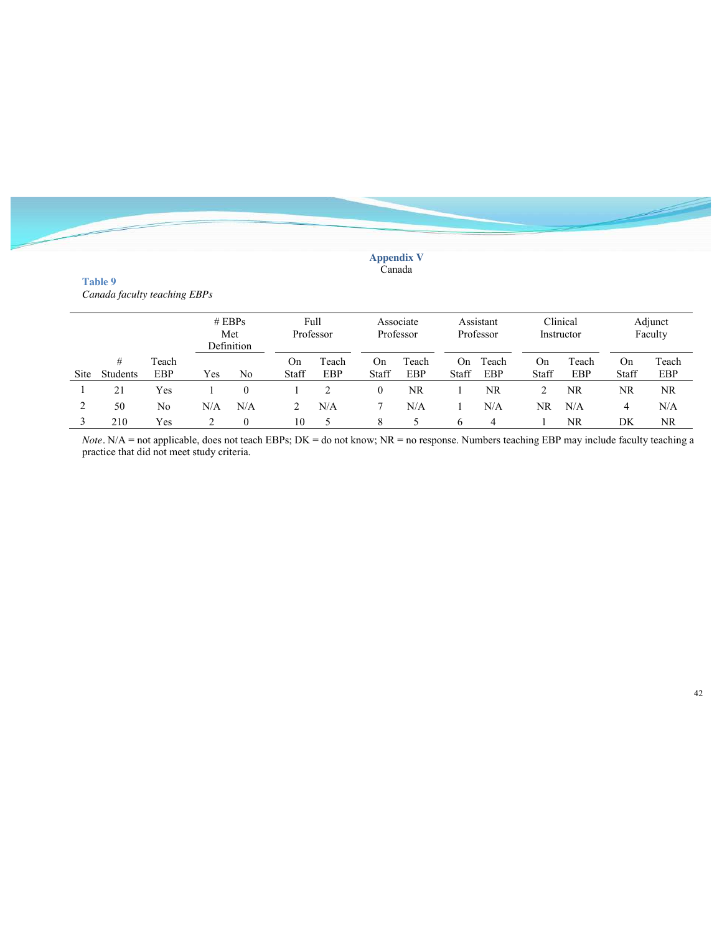#### **Appendix V** Canada

## **Table 9**  *Canada faculty teaching EBPs*

|             |               |              |     | # EBPs<br>Met<br>Definition | Full        | Professor    |             | Associate<br>Professor |              | Assistant<br>Professor |             | Clinical<br>Instructor |             | Adjunct<br>Faculty |
|-------------|---------------|--------------|-----|-----------------------------|-------------|--------------|-------------|------------------------|--------------|------------------------|-------------|------------------------|-------------|--------------------|
| <b>Site</b> | #<br>Students | Teach<br>EBP | Yes | N <sub>0</sub>              | On<br>Staff | Teach<br>EBP | On<br>Staff | Teach<br>EBP           | On.<br>Staff | Teach<br>EBP           | On<br>Staff | Teach<br>EBP           | On<br>Staff | Teach<br>EBP       |
|             | 21            | Yes          |     |                             |             |              | 0           | NR                     |              | NR                     |             | NR.                    | NR          | NR.                |
| 2           | 50            | No           | N/A | N/A                         |             | N/A          |             | N/A                    |              | N/A                    | NR          | N/A                    | 4           | N/A                |
|             | 210           | Yes          |     | $\mathbf{0}$                | 10          |              | 8           |                        | 6            | 4                      |             | NR                     | DK          | NR.                |

*Note*. N/A = not applicable, does not teach EBPs; DK = do not know; NR = no response. Numbers teaching EBP may include faculty teaching a practice that did not meet study criteria.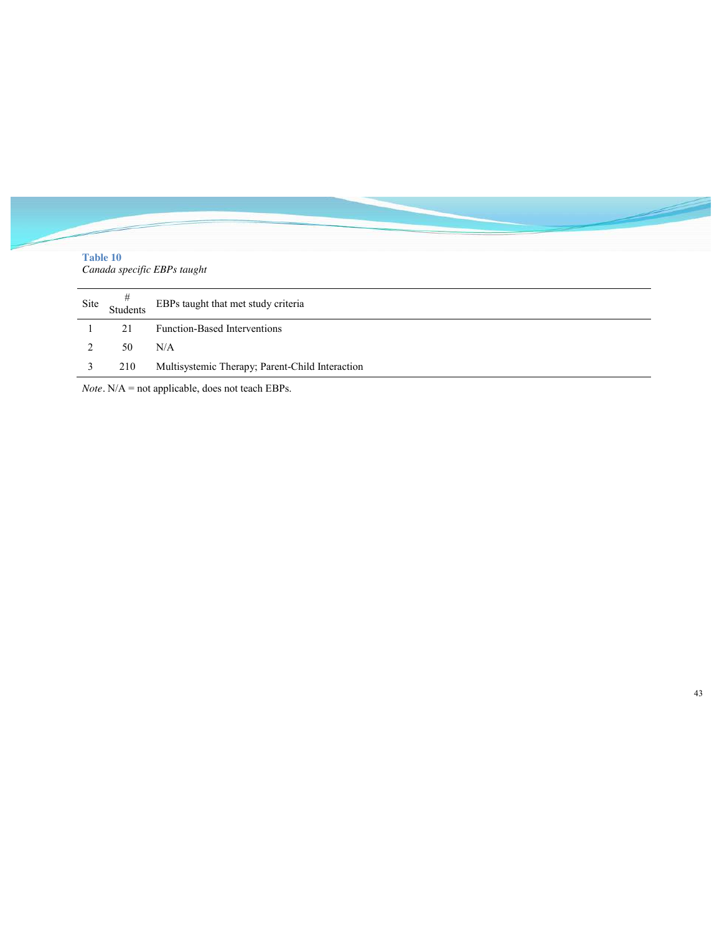| <b>Table 10</b> |               | Canada specific EBPs taught                     |
|-----------------|---------------|-------------------------------------------------|
| Site            | #<br>Students | EBPs taught that met study criteria             |
|                 | 21            | <b>Function-Based Interventions</b>             |
| 2               | 50            | N/A                                             |
| 3               | 210           | Multisystemic Therapy; Parent-Child Interaction |

*Note.* N/A = not applicable, does not teach EBPs.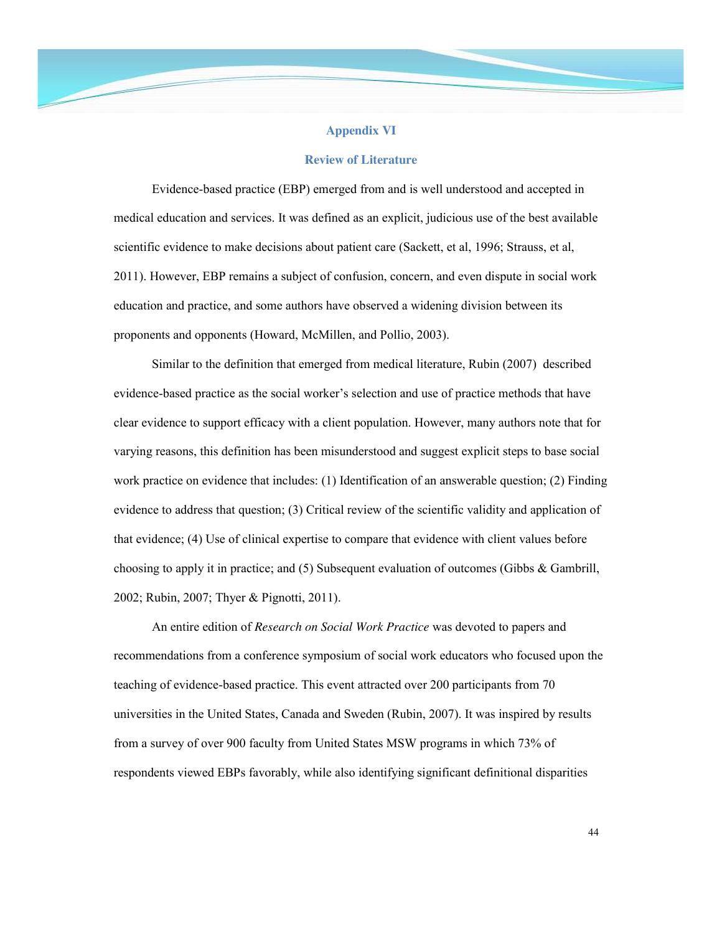## **Appendix VI**

#### **Review of Literature**

Evidence-based practice (EBP) emerged from and is well understood and accepted in medical education and services. It was defined as an explicit, judicious use of the best available scientific evidence to make decisions about patient care (Sackett, et al, 1996; Strauss, et al, 2011). However, EBP remains a subject of confusion, concern, and even dispute in social work education and practice, and some authors have observed a widening division between its proponents and opponents (Howard, McMillen, and Pollio, 2003).

Similar to the definition that emerged from medical literature, Rubin (2007) described evidence-based practice as the social worker's selection and use of practice methods that have clear evidence to support efficacy with a client population. However, many authors note that for varying reasons, this definition has been misunderstood and suggest explicit steps to base social work practice on evidence that includes: (1) Identification of an answerable question; (2) Finding evidence to address that question; (3) Critical review of the scientific validity and application of that evidence; (4) Use of clinical expertise to compare that evidence with client values before choosing to apply it in practice; and (5) Subsequent evaluation of outcomes (Gibbs & Gambrill, 2002; Rubin, 2007; Thyer & Pignotti, 2011).

An entire edition of *Research on Social Work Practice* was devoted to papers and recommendations from a conference symposium of social work educators who focused upon the teaching of evidence-based practice. This event attracted over 200 participants from 70 universities in the United States, Canada and Sweden (Rubin, 2007). It was inspired by results from a survey of over 900 faculty from United States MSW programs in which 73% of respondents viewed EBPs favorably, while also identifying significant definitional disparities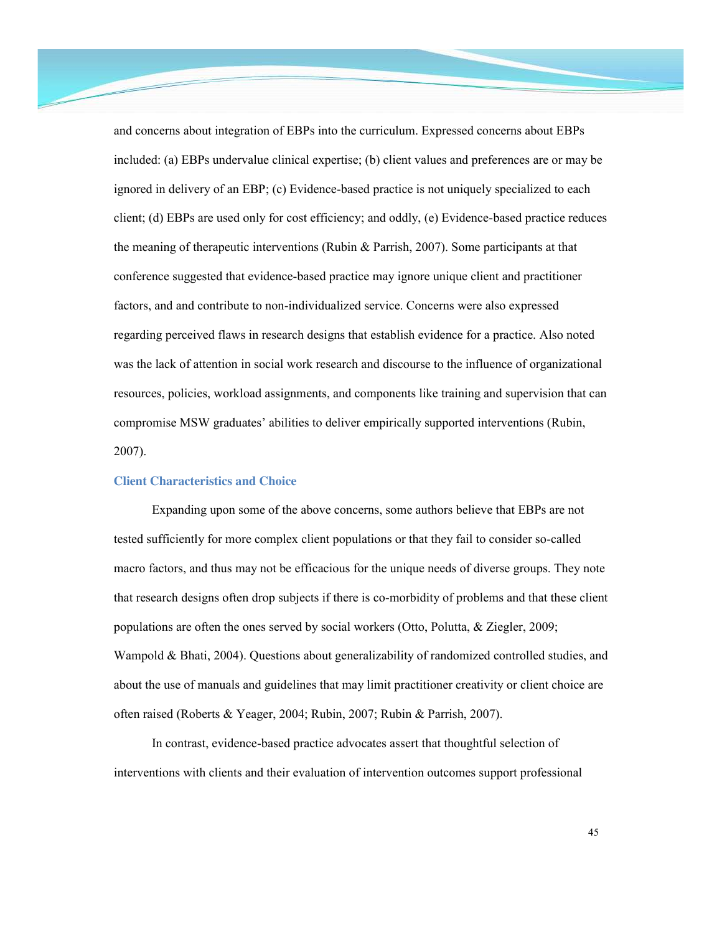and concerns about integration of EBPs into the curriculum. Expressed concerns about EBPs included: (a) EBPs undervalue clinical expertise; (b) client values and preferences are or may be ignored in delivery of an EBP; (c) Evidence-based practice is not uniquely specialized to each client; (d) EBPs are used only for cost efficiency; and oddly, (e) Evidence-based practice reduces the meaning of therapeutic interventions (Rubin & Parrish, 2007). Some participants at that conference suggested that evidence-based practice may ignore unique client and practitioner factors, and and contribute to non-individualized service. Concerns were also expressed regarding perceived flaws in research designs that establish evidence for a practice. Also noted was the lack of attention in social work research and discourse to the influence of organizational resources, policies, workload assignments, and components like training and supervision that can compromise MSW graduates' abilities to deliver empirically supported interventions (Rubin, 2007).

#### **Client Characteristics and Choice**

Expanding upon some of the above concerns, some authors believe that EBPs are not tested sufficiently for more complex client populations or that they fail to consider so-called macro factors, and thus may not be efficacious for the unique needs of diverse groups. They note that research designs often drop subjects if there is co-morbidity of problems and that these client populations are often the ones served by social workers (Otto, Polutta, & Ziegler, 2009; Wampold & Bhati, 2004). Questions about generalizability of randomized controlled studies, and about the use of manuals and guidelines that may limit practitioner creativity or client choice are often raised (Roberts & Yeager, 2004; Rubin, 2007; Rubin & Parrish, 2007).

In contrast, evidence-based practice advocates assert that thoughtful selection of interventions with clients and their evaluation of intervention outcomes support professional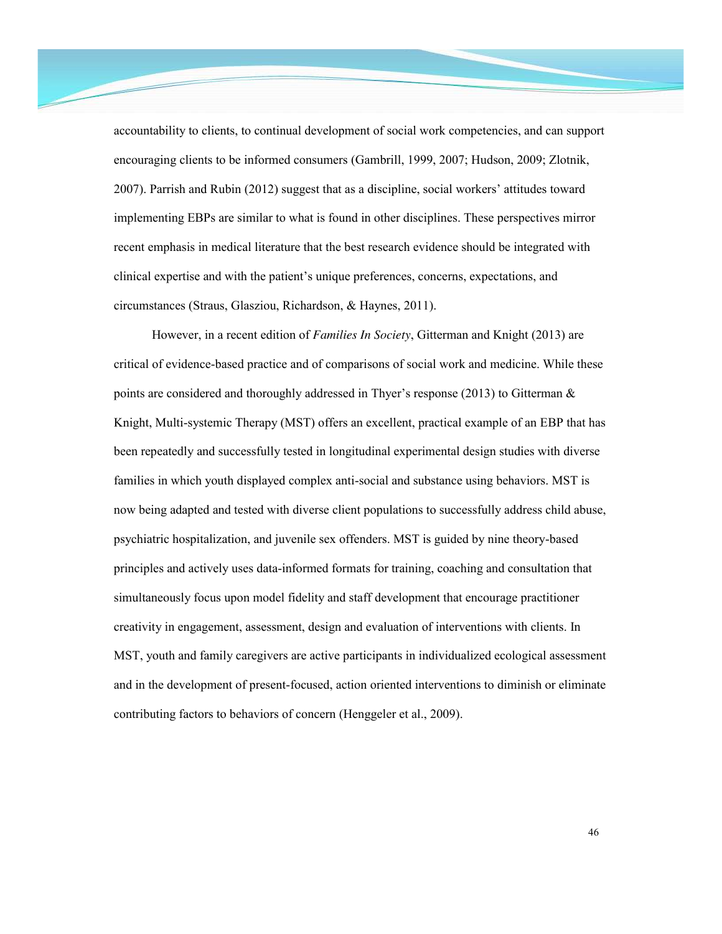accountability to clients, to continual development of social work competencies, and can support encouraging clients to be informed consumers (Gambrill, 1999, 2007; Hudson, 2009; Zlotnik, 2007). Parrish and Rubin (2012) suggest that as a discipline, social workers' attitudes toward implementing EBPs are similar to what is found in other disciplines. These perspectives mirror recent emphasis in medical literature that the best research evidence should be integrated with clinical expertise and with the patient's unique preferences, concerns, expectations, and circumstances (Straus, Glasziou, Richardson, & Haynes, 2011).

However, in a recent edition of *Families In Society*, Gitterman and Knight (2013) are critical of evidence-based practice and of comparisons of social work and medicine. While these points are considered and thoroughly addressed in Thyer's response (2013) to Gitterman & Knight, Multi-systemic Therapy (MST) offers an excellent, practical example of an EBP that has been repeatedly and successfully tested in longitudinal experimental design studies with diverse families in which youth displayed complex anti-social and substance using behaviors. MST is now being adapted and tested with diverse client populations to successfully address child abuse, psychiatric hospitalization, and juvenile sex offenders. MST is guided by nine theory-based principles and actively uses data-informed formats for training, coaching and consultation that simultaneously focus upon model fidelity and staff development that encourage practitioner creativity in engagement, assessment, design and evaluation of interventions with clients. In MST, youth and family caregivers are active participants in individualized ecological assessment and in the development of present-focused, action oriented interventions to diminish or eliminate contributing factors to behaviors of concern (Henggeler et al., 2009).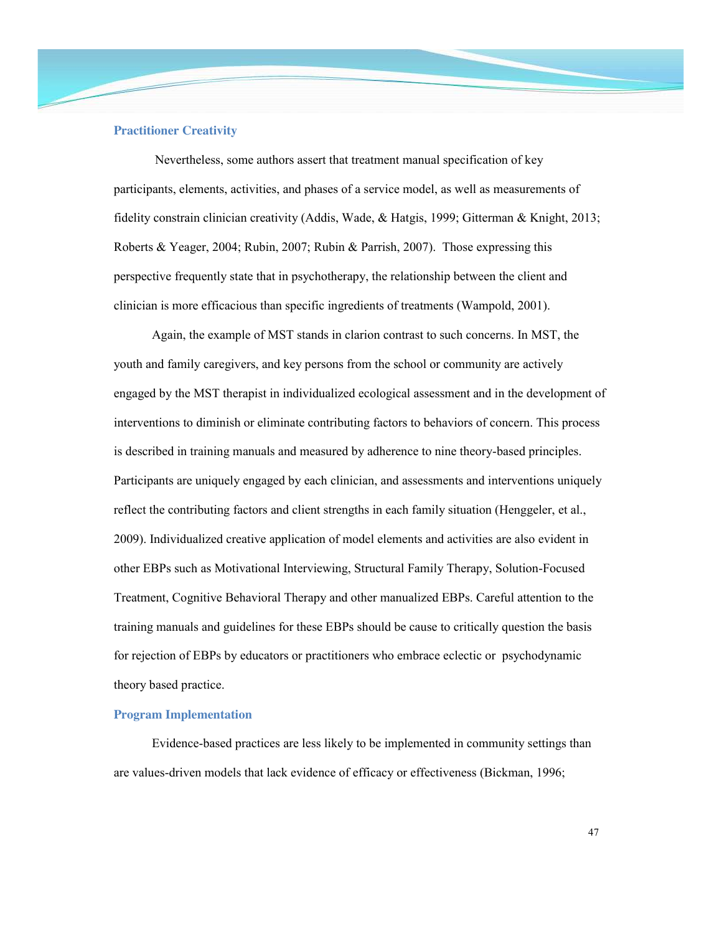## **Practitioner Creativity**

Nevertheless, some authors assert that treatment manual specification of key participants, elements, activities, and phases of a service model, as well as measurements of fidelity constrain clinician creativity (Addis, Wade, & Hatgis, 1999; Gitterman & Knight, 2013; Roberts & Yeager, 2004; Rubin, 2007; Rubin & Parrish, 2007). Those expressing this perspective frequently state that in psychotherapy, the relationship between the client and clinician is more efficacious than specific ingredients of treatments (Wampold, 2001).

Again, the example of MST stands in clarion contrast to such concerns. In MST, the youth and family caregivers, and key persons from the school or community are actively engaged by the MST therapist in individualized ecological assessment and in the development of interventions to diminish or eliminate contributing factors to behaviors of concern. This process is described in training manuals and measured by adherence to nine theory-based principles. Participants are uniquely engaged by each clinician, and assessments and interventions uniquely reflect the contributing factors and client strengths in each family situation (Henggeler, et al., 2009). Individualized creative application of model elements and activities are also evident in other EBPs such as Motivational Interviewing, Structural Family Therapy, Solution-Focused Treatment, Cognitive Behavioral Therapy and other manualized EBPs. Careful attention to the training manuals and guidelines for these EBPs should be cause to critically question the basis for rejection of EBPs by educators or practitioners who embrace eclectic or psychodynamic theory based practice.

## **Program Implementation**

Evidence-based practices are less likely to be implemented in community settings than are values-driven models that lack evidence of efficacy or effectiveness (Bickman, 1996;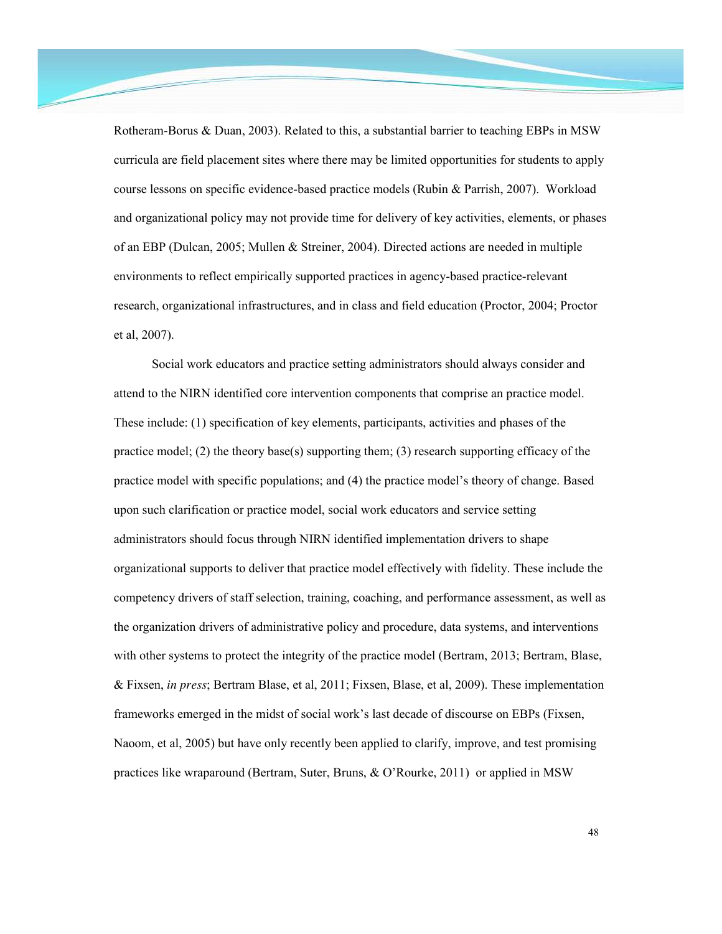Rotheram-Borus & Duan, 2003). Related to this, a substantial barrier to teaching EBPs in MSW curricula are field placement sites where there may be limited opportunities for students to apply course lessons on specific evidence-based practice models (Rubin & Parrish, 2007). Workload and organizational policy may not provide time for delivery of key activities, elements, or phases of an EBP (Dulcan, 2005; Mullen & Streiner, 2004). Directed actions are needed in multiple environments to reflect empirically supported practices in agency-based practice-relevant research, organizational infrastructures, and in class and field education (Proctor, 2004; Proctor et al, 2007).

Social work educators and practice setting administrators should always consider and attend to the NIRN identified core intervention components that comprise an practice model. These include: (1) specification of key elements, participants, activities and phases of the practice model; (2) the theory base(s) supporting them; (3) research supporting efficacy of the practice model with specific populations; and (4) the practice model's theory of change. Based upon such clarification or practice model, social work educators and service setting administrators should focus through NIRN identified implementation drivers to shape organizational supports to deliver that practice model effectively with fidelity. These include the competency drivers of staff selection, training, coaching, and performance assessment, as well as the organization drivers of administrative policy and procedure, data systems, and interventions with other systems to protect the integrity of the practice model (Bertram, 2013; Bertram, Blase, & Fixsen, *in press*; Bertram Blase, et al, 2011; Fixsen, Blase, et al, 2009). These implementation frameworks emerged in the midst of social work's last decade of discourse on EBPs (Fixsen, Naoom, et al, 2005) but have only recently been applied to clarify, improve, and test promising practices like wraparound (Bertram, Suter, Bruns, & O'Rourke, 2011) or applied in MSW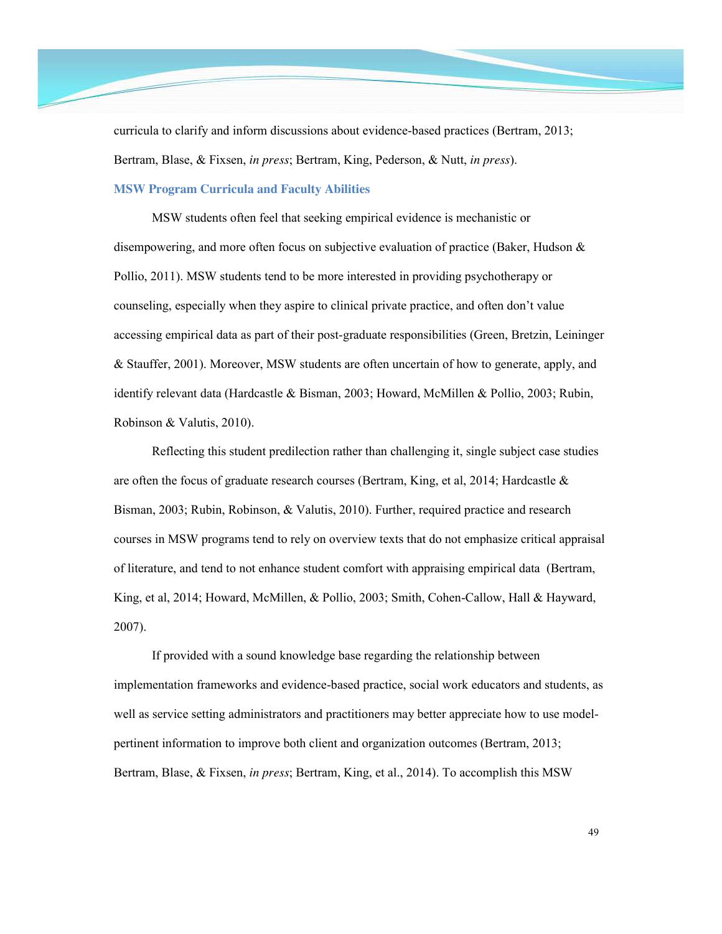curricula to clarify and inform discussions about evidence-based practices (Bertram, 2013; Bertram, Blase, & Fixsen, *in press*; Bertram, King, Pederson, & Nutt, *in press*).

## **MSW Program Curricula and Faculty Abilities**

MSW students often feel that seeking empirical evidence is mechanistic or disempowering, and more often focus on subjective evaluation of practice (Baker, Hudson & Pollio, 2011). MSW students tend to be more interested in providing psychotherapy or counseling, especially when they aspire to clinical private practice, and often don't value accessing empirical data as part of their post-graduate responsibilities (Green, Bretzin, Leininger & Stauffer, 2001). Moreover, MSW students are often uncertain of how to generate, apply, and identify relevant data (Hardcastle & Bisman, 2003; Howard, McMillen & Pollio, 2003; Rubin, Robinson & Valutis, 2010).

Reflecting this student predilection rather than challenging it, single subject case studies are often the focus of graduate research courses (Bertram, King, et al, 2014; Hardcastle  $\&$ Bisman, 2003; Rubin, Robinson, & Valutis, 2010). Further, required practice and research courses in MSW programs tend to rely on overview texts that do not emphasize critical appraisal of literature, and tend to not enhance student comfort with appraising empirical data (Bertram, King, et al, 2014; Howard, McMillen, & Pollio, 2003; Smith, Cohen-Callow, Hall & Hayward, 2007).

If provided with a sound knowledge base regarding the relationship between implementation frameworks and evidence-based practice, social work educators and students, as well as service setting administrators and practitioners may better appreciate how to use modelpertinent information to improve both client and organization outcomes (Bertram, 2013; Bertram, Blase, & Fixsen, *in press*; Bertram, King, et al., 2014). To accomplish this MSW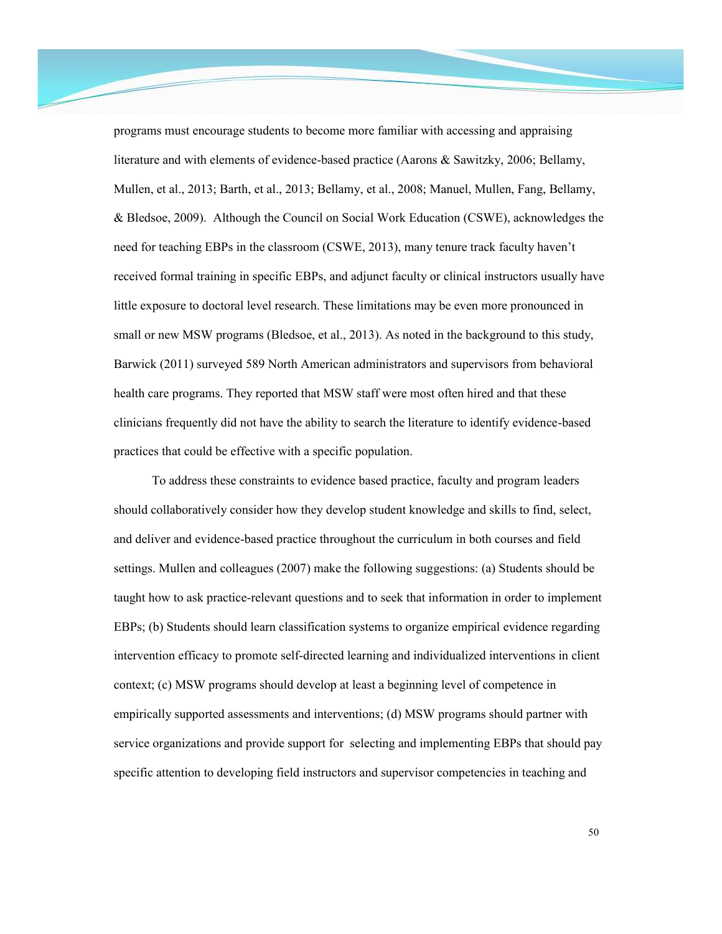programs must encourage students to become more familiar with accessing and appraising literature and with elements of evidence-based practice (Aarons & Sawitzky, 2006; Bellamy, Mullen, et al., 2013; Barth, et al., 2013; Bellamy, et al., 2008; Manuel, Mullen, Fang, Bellamy, & Bledsoe, 2009). Although the Council on Social Work Education (CSWE), acknowledges the need for teaching EBPs in the classroom (CSWE, 2013), many tenure track faculty haven't received formal training in specific EBPs, and adjunct faculty or clinical instructors usually have little exposure to doctoral level research. These limitations may be even more pronounced in small or new MSW programs (Bledsoe, et al., 2013). As noted in the background to this study, Barwick (2011) surveyed 589 North American administrators and supervisors from behavioral health care programs. They reported that MSW staff were most often hired and that these clinicians frequently did not have the ability to search the literature to identify evidence-based practices that could be effective with a specific population.

To address these constraints to evidence based practice, faculty and program leaders should collaboratively consider how they develop student knowledge and skills to find, select, and deliver and evidence-based practice throughout the curriculum in both courses and field settings. Mullen and colleagues (2007) make the following suggestions: (a) Students should be taught how to ask practice-relevant questions and to seek that information in order to implement EBPs; (b) Students should learn classification systems to organize empirical evidence regarding intervention efficacy to promote self-directed learning and individualized interventions in client context; (c) MSW programs should develop at least a beginning level of competence in empirically supported assessments and interventions; (d) MSW programs should partner with service organizations and provide support for selecting and implementing EBPs that should pay specific attention to developing field instructors and supervisor competencies in teaching and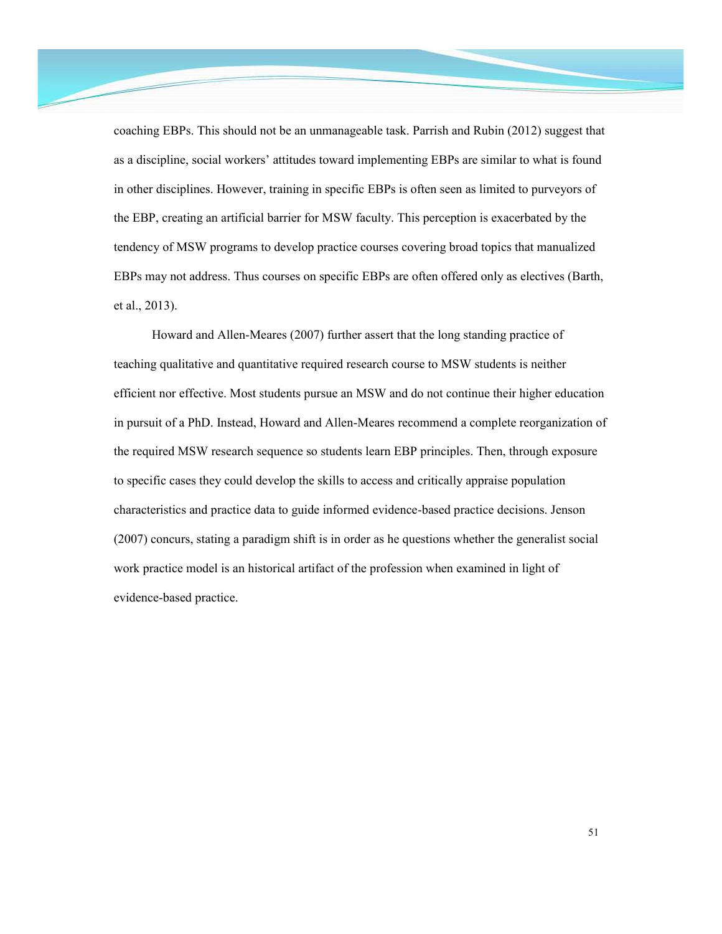coaching EBPs. This should not be an unmanageable task. Parrish and Rubin (2012) suggest that as a discipline, social workers' attitudes toward implementing EBPs are similar to what is found in other disciplines. However, training in specific EBPs is often seen as limited to purveyors of the EBP, creating an artificial barrier for MSW faculty. This perception is exacerbated by the tendency of MSW programs to develop practice courses covering broad topics that manualized EBPs may not address. Thus courses on specific EBPs are often offered only as electives (Barth, et al., 2013).

Howard and Allen-Meares (2007) further assert that the long standing practice of teaching qualitative and quantitative required research course to MSW students is neither efficient nor effective. Most students pursue an MSW and do not continue their higher education in pursuit of a PhD. Instead, Howard and Allen-Meares recommend a complete reorganization of the required MSW research sequence so students learn EBP principles. Then, through exposure to specific cases they could develop the skills to access and critically appraise population characteristics and practice data to guide informed evidence-based practice decisions. Jenson (2007) concurs, stating a paradigm shift is in order as he questions whether the generalist social work practice model is an historical artifact of the profession when examined in light of evidence-based practice.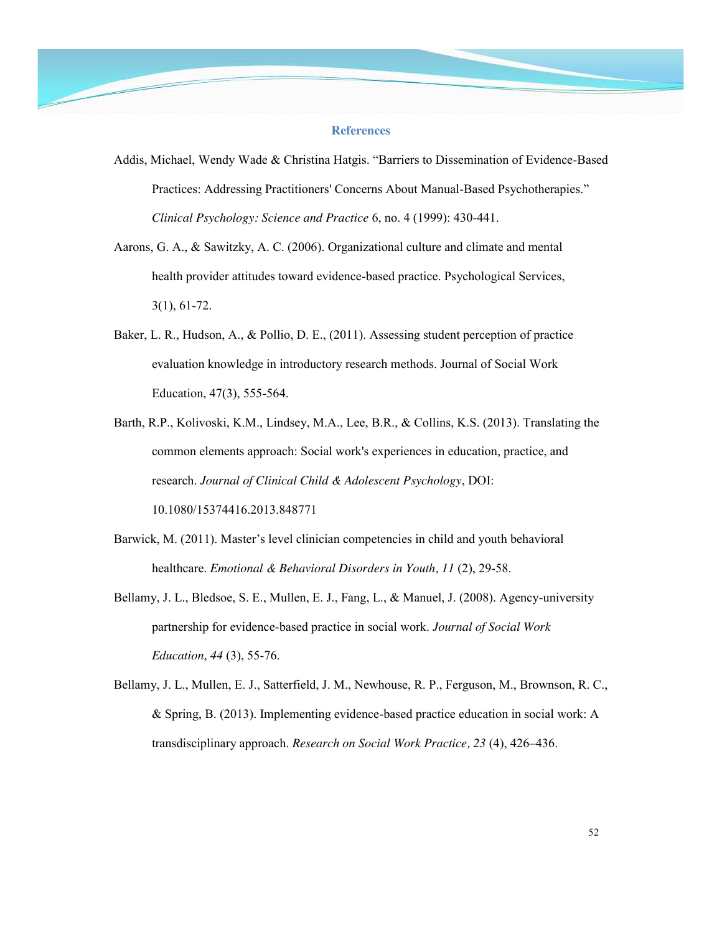#### **References**

- Addis, Michael, Wendy Wade & Christina Hatgis. "Barriers to Dissemination of Evidence-Based Practices: Addressing Practitioners' Concerns About Manual-Based Psychotherapies." *Clinical Psychology: Science and Practice* 6, no. 4 (1999): 430-441.
- Aarons, G. A., & Sawitzky, A. C. (2006). Organizational culture and climate and mental health provider attitudes toward evidence-based practice. Psychological Services, 3(1), 61-72.
- Baker, L. R., Hudson, A., & Pollio, D. E., (2011). Assessing student perception of practice evaluation knowledge in introductory research methods. Journal of Social Work Education, 47(3), 555-564.
- Barth, R.P., Kolivoski, K.M., Lindsey, M.A., Lee, B.R., & Collins, K.S. (2013). Translating the common elements approach: Social work's experiences in education, practice, and research. *Journal of Clinical Child & Adolescent Psychology*, DOI: 10.1080/15374416.2013.848771
- Barwick, M. (2011). Master's level clinician competencies in child and youth behavioral healthcare. *Emotional & Behavioral Disorders in Youth, 11* (2), 29-58.
- Bellamy, J. L., Bledsoe, S. E., Mullen, E. J., Fang, L., & Manuel, J. (2008). Agency-university partnership for evidence-based practice in social work. *Journal of Social Work Education*, *44* (3), 55-76.
- Bellamy, J. L., Mullen, E. J., Satterfield, J. M., Newhouse, R. P., Ferguson, M., Brownson, R. C., & Spring, B. (2013). Implementing evidence-based practice education in social work: A transdisciplinary approach. *Research on Social Work Practice, 23* (4), 426–436.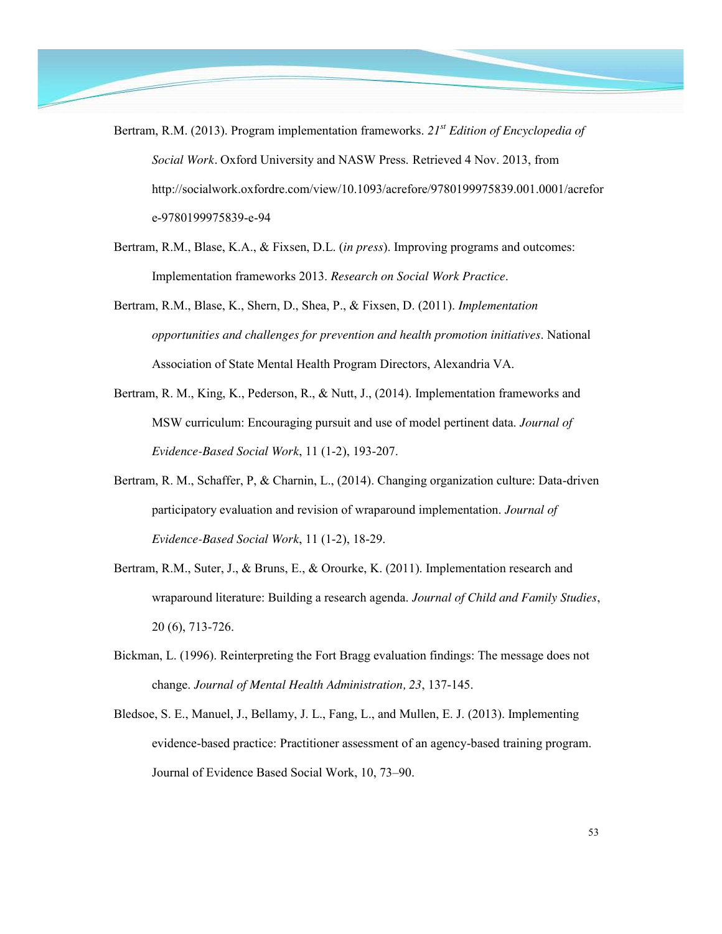- Bertram, R.M. (2013). Program implementation frameworks. *21st Edition of Encyclopedia of Social Work.* Oxford University and NASW Press. Retrieved 4 Nov. 2013, from http://socialwork.oxfordre.com/view/10.1093/acrefore/9780199975839.001.0001/acrefor e-9780199975839-e-94
- Bertram, R.M., Blase, K.A., & Fixsen, D.L. (*in press*). Improving programs and outcomes: Implementation frameworks 2013. *Research on Social Work Practice*.
- Bertram, R.M., Blase, K., Shern, D., Shea, P., & Fixsen, D. (2011). *Implementation opportunities and challenges for prevention and health promotion initiatives*. National Association of State Mental Health Program Directors, Alexandria VA.
- Bertram, R. M., King, K., Pederson, R., & Nutt, J., (2014). Implementation frameworks and MSW curriculum: Encouraging pursuit and use of model pertinent data. *Journal of Evidence-Based Social Work*, 11 (1-2), 193-207.
- Bertram, R. M., Schaffer, P, & Charnin, L., (2014). Changing organization culture: Data-driven participatory evaluation and revision of wraparound implementation. *Journal of Evidence-Based Social Work*, 11 (1-2), 18-29.
- Bertram, R.M., Suter, J., & Bruns, E., & Orourke, K. (2011). Implementation research and wraparound literature: Building a research agenda. *Journal of Child and Family Studies*, 20 (6), 713-726.
- Bickman, L. (1996). Reinterpreting the Fort Bragg evaluation findings: The message does not change. *Journal of Mental Health Administration, 23*, 137-145.
- Bledsoe, S. E., Manuel, J., Bellamy, J. L., Fang, L., and Mullen, E. J. (2013). Implementing evidence-based practice: Practitioner assessment of an agency-based training program. Journal of Evidence Based Social Work, 10, 73–90.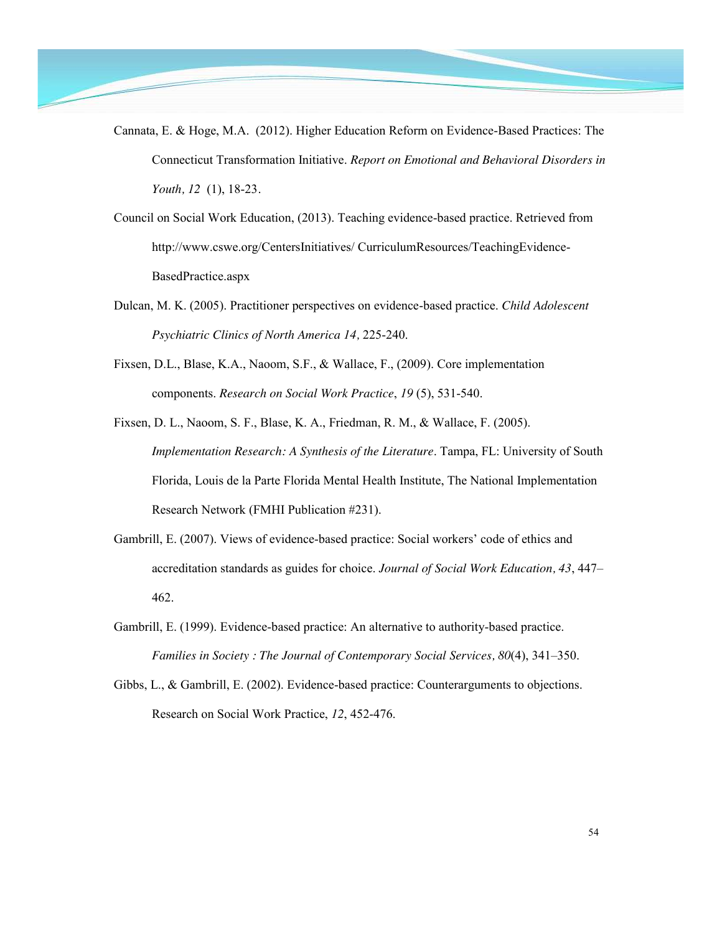- Cannata, E. & Hoge, M.A. (2012). Higher Education Reform on Evidence-Based Practices: The Connecticut Transformation Initiative. *Report on Emotional and Behavioral Disorders in Youth, 12* (1), 18-23*.* 
	- Council on Social Work Education, (2013). Teaching evidence-based practice. Retrieved from http://www.cswe.org/CentersInitiatives/ CurriculumResources/TeachingEvidence-BasedPractice.aspx
	- Dulcan, M. K. (2005). Practitioner perspectives on evidence-based practice. *Child Adolescent Psychiatric Clinics of North America 14,* 225-240.
	- Fixsen, D.L., Blase, K.A., Naoom, S.F., & Wallace, F., (2009). Core implementation components. *Research on Social Work Practice*, *19* (5), 531-540.
	- Fixsen, D. L., Naoom, S. F., Blase, K. A., Friedman, R. M., & Wallace, F. (2005). *Implementation Research: A Synthesis of the Literature*. Tampa, FL: University of South Florida, Louis de la Parte Florida Mental Health Institute, The National Implementation Research Network (FMHI Publication #231).
	- Gambrill, E. (2007). Views of evidence-based practice: Social workers' code of ethics and accreditation standards as guides for choice. *Journal of Social Work Education, 43*, 447– 462.
	- Gambrill, E. (1999). Evidence-based practice: An alternative to authority-based practice. *Families in Society : The Journal of Contemporary Social Services, 80*(4), 341–350.
	- Gibbs, L., & Gambrill, E. (2002). Evidence-based practice: Counterarguments to objections. Research on Social Work Practice, *12*, 452-476.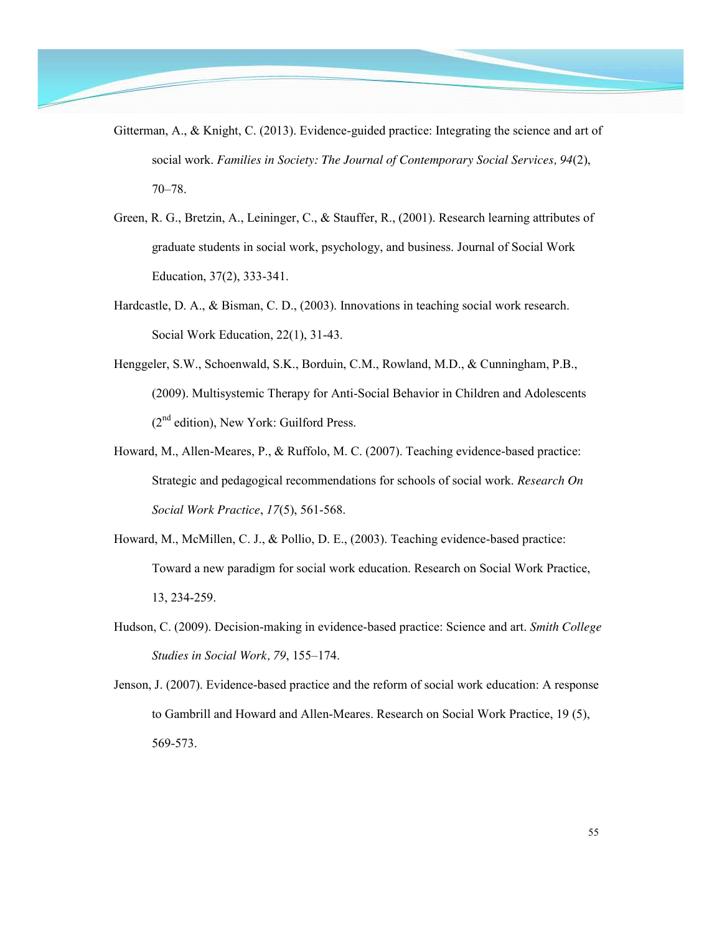- Gitterman, A., & Knight, C. (2013). Evidence-guided practice: Integrating the science and art of social work. *Families in Society: The Journal of Contemporary Social Services, 94*(2), 70–78.
- Green, R. G., Bretzin, A., Leininger, C., & Stauffer, R., (2001). Research learning attributes of graduate students in social work, psychology, and business. Journal of Social Work Education, 37(2), 333-341.
- Hardcastle, D. A., & Bisman, C. D., (2003). Innovations in teaching social work research. Social Work Education, 22(1), 31-43.
- Henggeler, S.W., Schoenwald, S.K., Borduin, C.M., Rowland, M.D., & Cunningham, P.B., (2009). Multisystemic Therapy for Anti-Social Behavior in Children and Adolescents  $(2<sup>nd</sup> edition)$ , New York: Guilford Press.
- Howard, M., Allen-Meares, P., & Ruffolo, M. C. (2007). Teaching evidence-based practice: Strategic and pedagogical recommendations for schools of social work. *Research On Social Work Practice*, *17*(5), 561-568.
- Howard, M., McMillen, C. J., & Pollio, D. E., (2003). Teaching evidence-based practice: Toward a new paradigm for social work education. Research on Social Work Practice, 13, 234-259.
- Hudson, C. (2009). Decision-making in evidence-based practice: Science and art. *Smith College Studies in Social Work, 79*, 155–174.
- Jenson, J. (2007). Evidence-based practice and the reform of social work education: A response to Gambrill and Howard and Allen-Meares. Research on Social Work Practice, 19 (5), 569-573.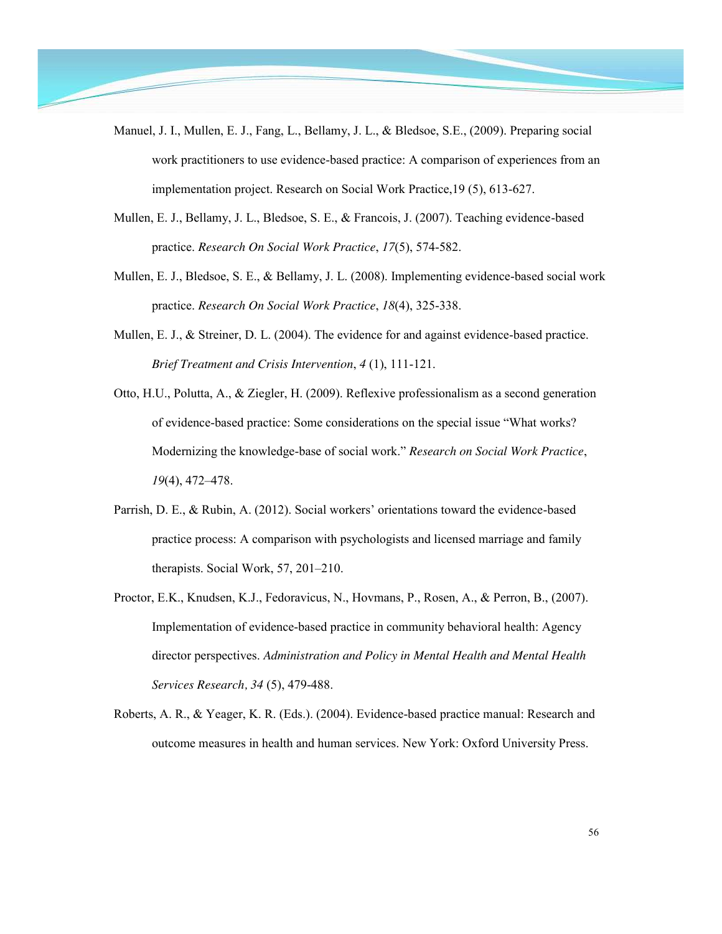- Manuel, J. I., Mullen, E. J., Fang, L., Bellamy, J. L., & Bledsoe, S.E., (2009). Preparing social work practitioners to use evidence-based practice: A comparison of experiences from an implementation project. Research on Social Work Practice,19 (5), 613-627.
- Mullen, E. J., Bellamy, J. L., Bledsoe, S. E., & Francois, J. (2007). Teaching evidence-based practice. *Research On Social Work Practice*, *17*(5), 574-582.
- Mullen, E. J., Bledsoe, S. E., & Bellamy, J. L. (2008). Implementing evidence-based social work practice. *Research On Social Work Practice*, *18*(4), 325-338.
- Mullen, E. J., & Streiner, D. L. (2004). The evidence for and against evidence-based practice. *Brief Treatment and Crisis Intervention*, *4* (1), 111-121.
- Otto, H.U., Polutta, A., & Ziegler, H. (2009). Reflexive professionalism as a second generation of evidence-based practice: Some considerations on the special issue "What works? Modernizing the knowledge-base of social work." *Research on Social Work Practice*, *19*(4), 472–478.
- Parrish, D. E., & Rubin, A. (2012). Social workers' orientations toward the evidence-based practice process: A comparison with psychologists and licensed marriage and family therapists. Social Work, 57, 201–210.
- Proctor, E.K., Knudsen, K.J., Fedoravicus, N., Hovmans, P., Rosen, A., & Perron, B., (2007). Implementation of evidence-based practice in community behavioral health: Agency director perspectives. *Administration and Policy in Mental Health and Mental Health Services Research, 34* (5), 479-488.
- Roberts, A. R., & Yeager, K. R. (Eds.). (2004). Evidence-based practice manual: Research and outcome measures in health and human services. New York: Oxford University Press.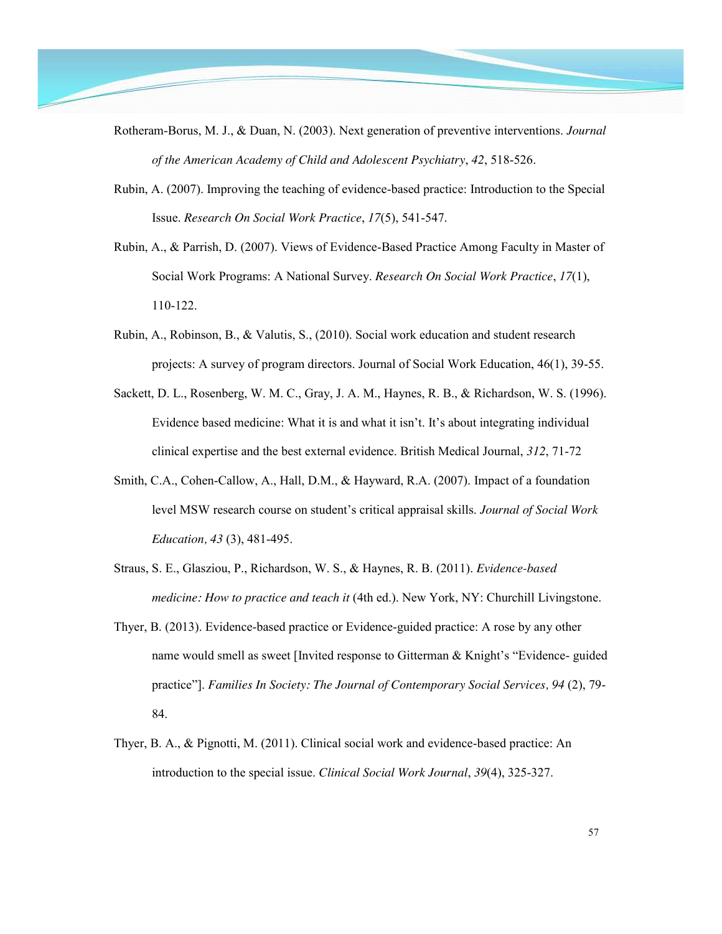- Rotheram-Borus, M. J., & Duan, N. (2003). Next generation of preventive interventions. *Journal of the American Academy of Child and Adolescent Psychiatry*, *42*, 518-526.
	- Rubin, A. (2007). Improving the teaching of evidence-based practice: Introduction to the Special Issue. *Research On Social Work Practice*, *17*(5), 541-547.
	- Rubin, A., & Parrish, D. (2007). Views of Evidence-Based Practice Among Faculty in Master of Social Work Programs: A National Survey. *Research On Social Work Practice*, *17*(1), 110-122.
	- Rubin, A., Robinson, B., & Valutis, S., (2010). Social work education and student research projects: A survey of program directors. Journal of Social Work Education, 46(1), 39-55.
	- Sackett, D. L., Rosenberg, W. M. C., Gray, J. A. M., Haynes, R. B., & Richardson, W. S. (1996). Evidence based medicine: What it is and what it isn't. It's about integrating individual clinical expertise and the best external evidence. British Medical Journal, *312*, 71-72
	- Smith, C.A., Cohen-Callow, A., Hall, D.M., & Hayward, R.A. (2007). Impact of a foundation level MSW research course on student's critical appraisal skills. *Journal of Social Work Education, 43* (3), 481-495.
	- Straus, S. E., Glasziou, P., Richardson, W. S., & Haynes, R. B. (2011). *Evidence-based medicine: How to practice and teach it* (4th ed.). New York, NY: Churchill Livingstone.
	- Thyer, B. (2013). Evidence-based practice or Evidence-guided practice: A rose by any other name would smell as sweet [Invited response to Gitterman & Knight's "Evidence- guided practice"]. *Families In Society: The Journal of Contemporary Social Services, 94 (2), 79-*84.
	- Thyer, B. A., & Pignotti, M. (2011). Clinical social work and evidence-based practice: An introduction to the special issue. *Clinical Social Work Journal*, *39*(4), 325-327.